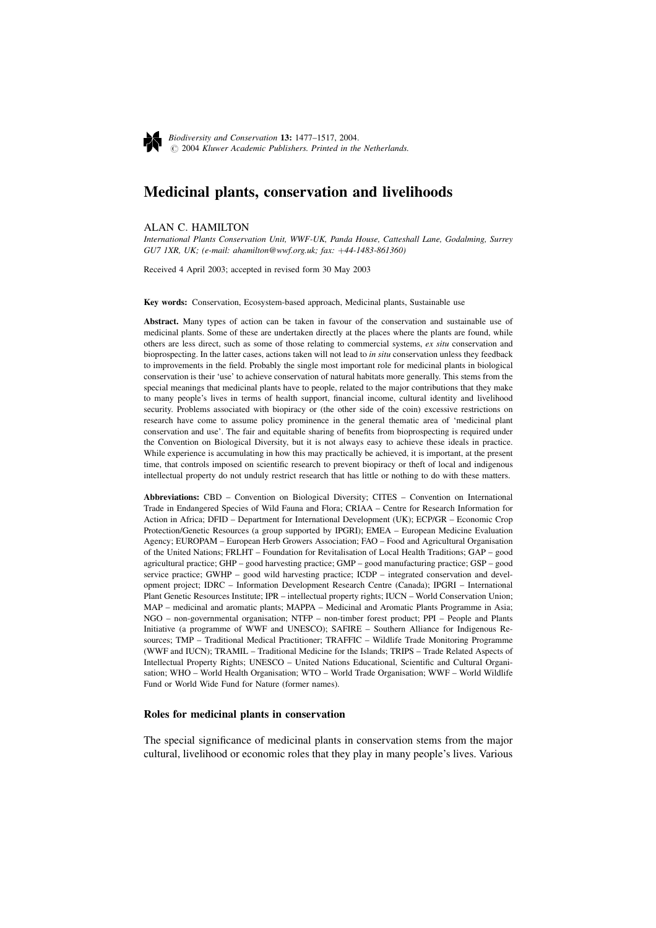

# Medicinal plants, conservation and livelihoods

#### ALAN C. HAMILTON

International Plants Conservation Unit, WWF-UK, Panda House, Catteshall Lane, Godalming, Surrey GU7 1XR, UK; (e-mail: ahamilton@wwf.org.uk; fax:  $+44-1483-861360$ )

Received 4 April 2003; accepted in revised form 30 May 2003

Key words: Conservation, Ecosystem-based approach, Medicinal plants, Sustainable use

Abstract. Many types of action can be taken in favour of the conservation and sustainable use of medicinal plants. Some of these are undertaken directly at the places where the plants are found, while others are less direct, such as some of those relating to commercial systems, ex situ conservation and bioprospecting. In the latter cases, actions taken will not lead to in situ conservation unless they feedback to improvements in the field. Probably the single most important role for medicinal plants in biological conservation is their 'use' to achieve conservation of natural habitats more generally. This stems from the special meanings that medicinal plants have to people, related to the major contributions that they make to many people's lives in terms of health support, financial income, cultural identity and livelihood security. Problems associated with biopiracy or (the other side of the coin) excessive restrictions on research have come to assume policy prominence in the general thematic area of 'medicinal plant conservation and use'. The fair and equitable sharing of benefits from bioprospecting is required under the Convention on Biological Diversity, but it is not always easy to achieve these ideals in practice. While experience is accumulating in how this may practically be achieved, it is important, at the present time, that controls imposed on scientific research to prevent biopiracy or theft of local and indigenous intellectual property do not unduly restrict research that has little or nothing to do with these matters.

Abbreviations: CBD – Convention on Biological Diversity; CITES – Convention on International Trade in Endangered Species of Wild Fauna and Flora; CRIAA – Centre for Research Information for Action in Africa; DFID – Department for International Development (UK); ECP/GR – Economic Crop Protection/Genetic Resources (a group supported by IPGRI); EMEA – European Medicine Evaluation Agency; EUROPAM – European Herb Growers Association; FAO – Food and Agricultural Organisation of the United Nations; FRLHT – Foundation for Revitalisation of Local Health Traditions; GAP – good agricultural practice; GHP – good harvesting practice; GMP – good manufacturing practice; GSP – good service practice; GWHP – good wild harvesting practice; ICDP – integrated conservation and development project; IDRC – Information Development Research Centre (Canada); IPGRI – International Plant Genetic Resources Institute; IPR – intellectual property rights; IUCN – World Conservation Union; MAP – medicinal and aromatic plants; MAPPA – Medicinal and Aromatic Plants Programme in Asia; NGO – non-governmental organisation; NTFP – non-timber forest product; PPI – People and Plants Initiative (a programme of WWF and UNESCO); SAFIRE – Southern Alliance for Indigenous Resources; TMP – Traditional Medical Practitioner; TRAFFIC – Wildlife Trade Monitoring Programme (WWF and IUCN); TRAMIL – Traditional Medicine for the Islands; TRIPS – Trade Related Aspects of Intellectual Property Rights; UNESCO – United Nations Educational, Scientific and Cultural Organisation; WHO – World Health Organisation; WTO – World Trade Organisation; WWF – World Wildlife Fund or World Wide Fund for Nature (former names).

#### Roles for medicinal plants in conservation

The special significance of medicinal plants in conservation stems from the major cultural, livelihood or economic roles that they play in many people's lives. Various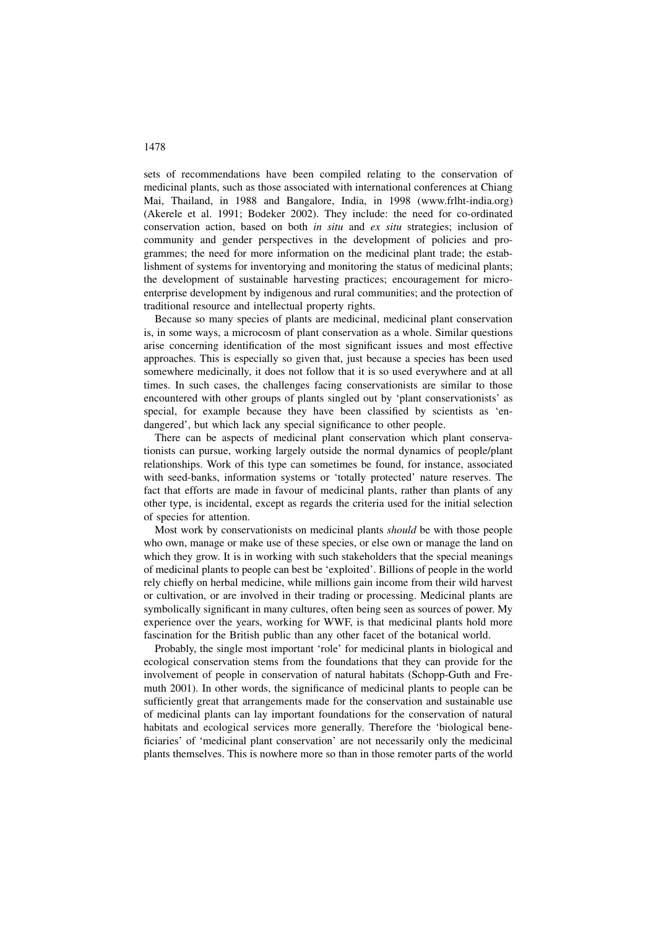sets of recommendations have been compiled relating to the conservation of medicinal plants, such as those associated with international conferences at Chiang Mai, Thailand, in 1988 and Bangalore, India, in 1998 (www.frlht-india.org) (Akerele et al. 1991; Bodeker 2002). They include: the need for co-ordinated conservation action, based on both *in situ* and *ex situ* strategies; inclusion of community and gender perspectives in the development of policies and programmes; the need for more information on the medicinal plant trade; the establishment of systems for inventorying and monitoring the status of medicinal plants; the development of sustainable harvesting practices; encouragement for microenterprise development by indigenous and rural communities; and the protection of traditional resource and intellectual property rights.

Because so many species of plants are medicinal, medicinal plant conservation is, in some ways, a microcosm of plant conservation as a whole. Similar questions arise concerning identification of the most significant issues and most effective approaches. This is especially so given that, just because a species has been used somewhere medicinally, it does not follow that it is so used everywhere and at all times. In such cases, the challenges facing conservationists are similar to those encountered with other groups of plants singled out by 'plant conservationists' as special, for example because they have been classified by scientists as 'endangered', but which lack any special significance to other people.

There can be aspects of medicinal plant conservation which plant conservationists can pursue, working largely outside the normal dynamics of people/plant relationships. Work of this type can sometimes be found, for instance, associated with seed-banks, information systems or 'totally protected' nature reserves. The fact that efforts are made in favour of medicinal plants, rather than plants of any other type, is incidental, except as regards the criteria used for the initial selection of species for attention.

Most work by conservationists on medicinal plants should be with those people who own, manage or make use of these species, or else own or manage the land on which they grow. It is in working with such stakeholders that the special meanings of medicinal plants to people can best be 'exploited'. Billions of people in the world rely chiefly on herbal medicine, while millions gain income from their wild harvest or cultivation, or are involved in their trading or processing. Medicinal plants are symbolically significant in many cultures, often being seen as sources of power. My experience over the years, working for WWF, is that medicinal plants hold more fascination for the British public than any other facet of the botanical world.

Probably, the single most important 'role' for medicinal plants in biological and ecological conservation stems from the foundations that they can provide for the involvement of people in conservation of natural habitats (Schopp-Guth and Fremuth 2001). In other words, the significance of medicinal plants to people can be sufficiently great that arrangements made for the conservation and sustainable use of medicinal plants can lay important foundations for the conservation of natural habitats and ecological services more generally. Therefore the 'biological beneficiaries' of 'medicinal plant conservation' are not necessarily only the medicinal plants themselves. This is nowhere more so than in those remoter parts of the world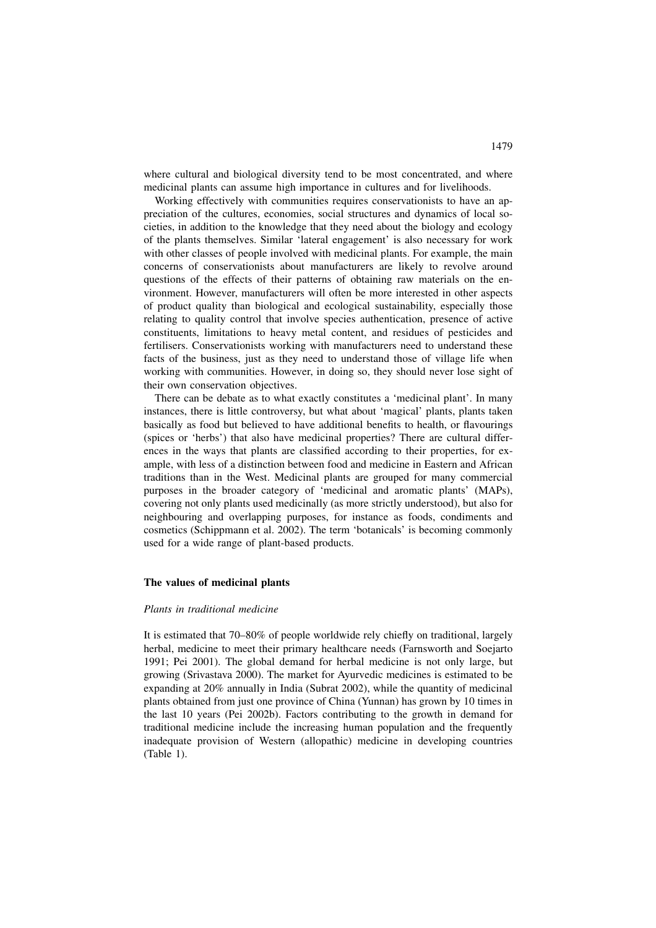where cultural and biological diversity tend to be most concentrated, and where medicinal plants can assume high importance in cultures and for livelihoods.

Working effectively with communities requires conservationists to have an appreciation of the cultures, economies, social structures and dynamics of local societies, in addition to the knowledge that they need about the biology and ecology of the plants themselves. Similar 'lateral engagement' is also necessary for work with other classes of people involved with medicinal plants. For example, the main concerns of conservationists about manufacturers are likely to revolve around questions of the effects of their patterns of obtaining raw materials on the environment. However, manufacturers will often be more interested in other aspects of product quality than biological and ecological sustainability, especially those relating to quality control that involve species authentication, presence of active constituents, limitations to heavy metal content, and residues of pesticides and fertilisers. Conservationists working with manufacturers need to understand these facts of the business, just as they need to understand those of village life when working with communities. However, in doing so, they should never lose sight of their own conservation objectives.

There can be debate as to what exactly constitutes a 'medicinal plant'. In many instances, there is little controversy, but what about 'magical' plants, plants taken basically as food but believed to have additional benefits to health, or flavourings (spices or 'herbs') that also have medicinal properties? There are cultural differences in the ways that plants are classified according to their properties, for example, with less of a distinction between food and medicine in Eastern and African traditions than in the West. Medicinal plants are grouped for many commercial purposes in the broader category of 'medicinal and aromatic plants' (MAPs), covering not only plants used medicinally (as more strictly understood), but also for neighbouring and overlapping purposes, for instance as foods, condiments and cosmetics (Schippmann et al. 2002). The term 'botanicals' is becoming commonly used for a wide range of plant-based products.

#### The values of medicinal plants

#### Plants in traditional medicine

It is estimated that 70–80% of people worldwide rely chiefly on traditional, largely herbal, medicine to meet their primary healthcare needs (Farnsworth and Soejarto 1991; Pei 2001). The global demand for herbal medicine is not only large, but growing (Srivastava 2000). The market for Ayurvedic medicines is estimated to be expanding at 20% annually in India (Subrat 2002), while the quantity of medicinal plants obtained from just one province of China (Yunnan) has grown by 10 times in the last 10 years (Pei 2002b). Factors contributing to the growth in demand for traditional medicine include the increasing human population and the frequently inadequate provision of Western (allopathic) medicine in developing countries (Table 1).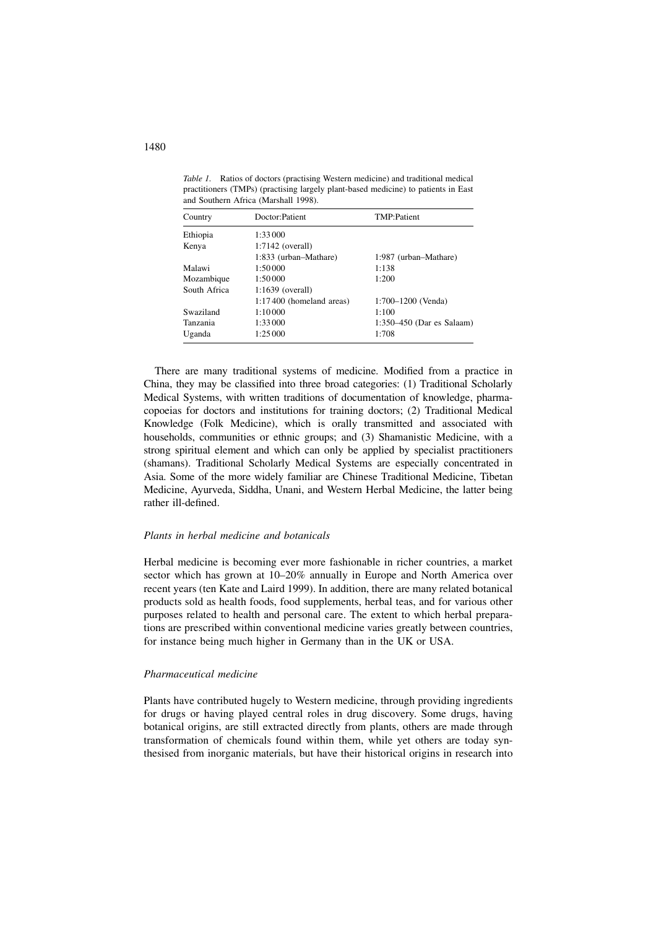| Country      | Doctor:Patient             | <b>TMP:Patient</b>          |
|--------------|----------------------------|-----------------------------|
| Ethiopia     | 1:33 000                   |                             |
| Kenya        |                            |                             |
|              | 1:833 (urban-Mathare)      | 1:987 (urban–Mathare)       |
| Malawi       | 1:50000                    | 1:138                       |
| Mozambique   | 1:50000                    | 1:200                       |
| South Africa | $1:1639$ (overall)         |                             |
|              | $1:17400$ (homeland areas) | 1:700-1200 (Venda)          |
| Swaziland    | 1:10000                    | 1:100                       |
| Tanzania     | 1:33 000                   | $1:350-450$ (Dar es Salaam) |
| Uganda       | 1:25000                    | 1:708                       |

Table 1. Ratios of doctors (practising Western medicine) and traditional medical practitioners (TMPs) (practising largely plant-based medicine) to patients in East and Southern Africa (Marshall 1998).

There are many traditional systems of medicine. Modified from a practice in China, they may be classified into three broad categories: (1) Traditional Scholarly Medical Systems, with written traditions of documentation of knowledge, pharmacopoeias for doctors and institutions for training doctors; (2) Traditional Medical Knowledge (Folk Medicine), which is orally transmitted and associated with households, communities or ethnic groups; and (3) Shamanistic Medicine, with a strong spiritual element and which can only be applied by specialist practitioners (shamans). Traditional Scholarly Medical Systems are especially concentrated in Asia. Some of the more widely familiar are Chinese Traditional Medicine, Tibetan Medicine, Ayurveda, Siddha, Unani, and Western Herbal Medicine, the latter being rather ill-defined.

### Plants in herbal medicine and botanicals

Herbal medicine is becoming ever more fashionable in richer countries, a market sector which has grown at 10–20% annually in Europe and North America over recent years (ten Kate and Laird 1999). In addition, there are many related botanical products sold as health foods, food supplements, herbal teas, and for various other purposes related to health and personal care. The extent to which herbal preparations are prescribed within conventional medicine varies greatly between countries, for instance being much higher in Germany than in the UK or USA.

#### Pharmaceutical medicine

Plants have contributed hugely to Western medicine, through providing ingredients for drugs or having played central roles in drug discovery. Some drugs, having botanical origins, are still extracted directly from plants, others are made through transformation of chemicals found within them, while yet others are today synthesised from inorganic materials, but have their historical origins in research into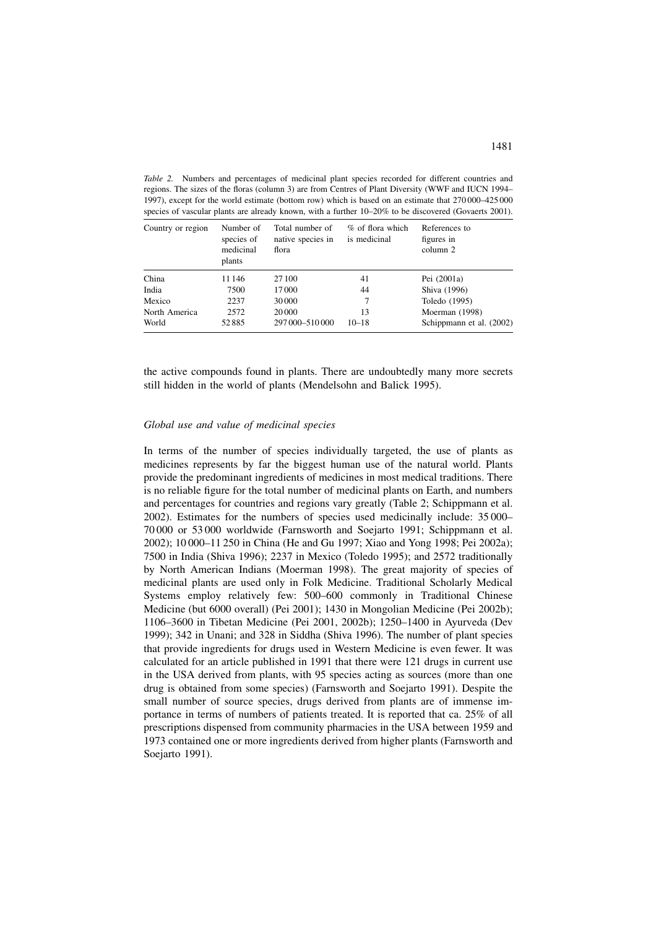| 1997), except for the world estimate (bottom row) which is based on an estimate that 270 000–425 000<br>species of vascular plants are already known, with a further 10–20% to be discovered (Govaerts 2001). |                                                |                                               |                                  |                                         |  |
|---------------------------------------------------------------------------------------------------------------------------------------------------------------------------------------------------------------|------------------------------------------------|-----------------------------------------------|----------------------------------|-----------------------------------------|--|
| Country or region                                                                                                                                                                                             | Number of<br>species of<br>medicinal<br>plants | Total number of<br>native species in<br>flora | % of flora which<br>is medicinal | References to<br>figures in<br>column 2 |  |

Table 2. Numbers and percentages of medicinal plant species recorded for different countries and regions. The sizes of the floras (column 3) are from Centres of Plant Diversity (WWF and IUCN 1994–

|               | plants |                   |           |                          |
|---------------|--------|-------------------|-----------|--------------------------|
| China         | 11 146 | 27 100            | 41        | Pei (2001a)              |
| India         | 7500   | 17000             | 44        | Shiva (1996)             |
| Mexico        | 2237   | 30000             |           | Toledo (1995)            |
| North America | 2572   | 20 000            | 13        | Moerman (1998)           |
| World         | 52885  | 297 000 - 510 000 | $10 - 18$ | Schippmann et al. (2002) |

the active compounds found in plants. There are undoubtedly many more secrets still hidden in the world of plants (Mendelsohn and Balick 1995).

#### Global use and value of medicinal species

In terms of the number of species individually targeted, the use of plants as medicines represents by far the biggest human use of the natural world. Plants provide the predominant ingredients of medicines in most medical traditions. There is no reliable figure for the total number of medicinal plants on Earth, and numbers and percentages for countries and regions vary greatly (Table 2; Schippmann et al. 2002). Estimates for the numbers of species used medicinally include: 35 000– 70 000 or 53 000 worldwide (Farnsworth and Soejarto 1991; Schippmann et al. 2002); 10 000–11 250 in China (He and Gu 1997; Xiao and Yong 1998; Pei 2002a); 7500 in India (Shiva 1996); 2237 in Mexico (Toledo 1995); and 2572 traditionally by North American Indians (Moerman 1998). The great majority of species of medicinal plants are used only in Folk Medicine. Traditional Scholarly Medical Systems employ relatively few: 500–600 commonly in Traditional Chinese Medicine (but 6000 overall) (Pei 2001); 1430 in Mongolian Medicine (Pei 2002b); 1106–3600 in Tibetan Medicine (Pei 2001, 2002b); 1250–1400 in Ayurveda (Dev 1999); 342 in Unani; and 328 in Siddha (Shiva 1996). The number of plant species that provide ingredients for drugs used in Western Medicine is even fewer. It was calculated for an article published in 1991 that there were 121 drugs in current use in the USA derived from plants, with 95 species acting as sources (more than one drug is obtained from some species) (Farnsworth and Soejarto 1991). Despite the small number of source species, drugs derived from plants are of immense importance in terms of numbers of patients treated. It is reported that ca. 25% of all prescriptions dispensed from community pharmacies in the USA between 1959 and 1973 contained one or more ingredients derived from higher plants (Farnsworth and Soejarto 1991).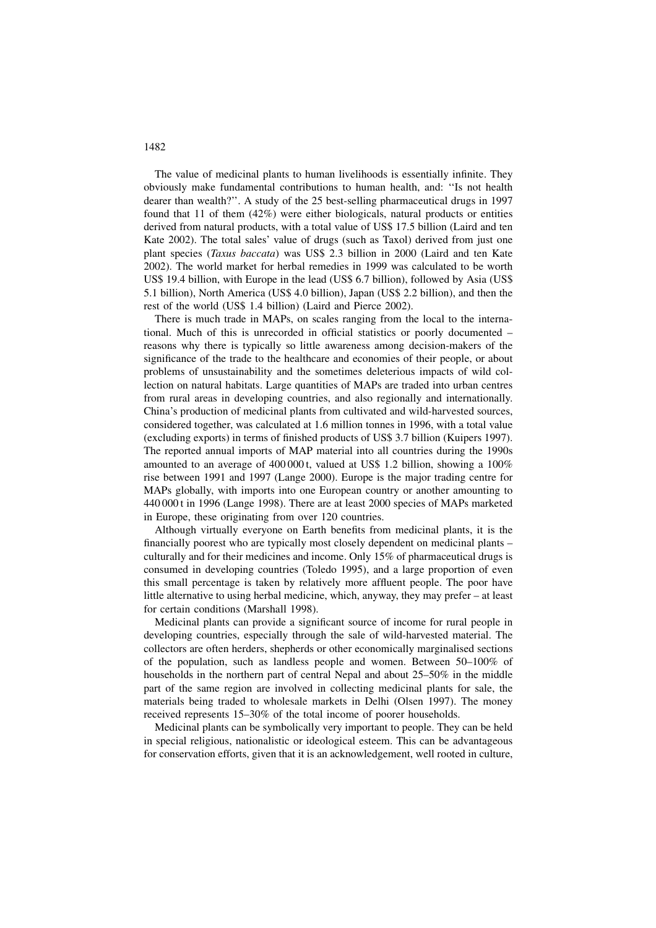The value of medicinal plants to human livelihoods is essentially infinite. They obviously make fundamental contributions to human health, and: ''Is not health dearer than wealth?''. A study of the 25 best-selling pharmaceutical drugs in 1997 found that 11 of them (42%) were either biologicals, natural products or entities derived from natural products, with a total value of US\$ 17.5 billion (Laird and ten Kate 2002). The total sales' value of drugs (such as Taxol) derived from just one plant species (Taxus baccata) was US\$ 2.3 billion in 2000 (Laird and ten Kate 2002). The world market for herbal remedies in 1999 was calculated to be worth US\$ 19.4 billion, with Europe in the lead (US\$ 6.7 billion), followed by Asia (US\$ 5.1 billion), North America (US\$ 4.0 billion), Japan (US\$ 2.2 billion), and then the rest of the world (US\$ 1.4 billion) (Laird and Pierce 2002).

There is much trade in MAPs, on scales ranging from the local to the international. Much of this is unrecorded in official statistics or poorly documented – reasons why there is typically so little awareness among decision-makers of the significance of the trade to the healthcare and economies of their people, or about problems of unsustainability and the sometimes deleterious impacts of wild collection on natural habitats. Large quantities of MAPs are traded into urban centres from rural areas in developing countries, and also regionally and internationally. China's production of medicinal plants from cultivated and wild-harvested sources, considered together, was calculated at 1.6 million tonnes in 1996, with a total value (excluding exports) in terms of finished products of US\$ 3.7 billion (Kuipers 1997). The reported annual imports of MAP material into all countries during the 1990s amounted to an average of 400 000 t, valued at US\$ 1.2 billion, showing a 100% rise between 1991 and 1997 (Lange 2000). Europe is the major trading centre for MAPs globally, with imports into one European country or another amounting to 440 000 t in 1996 (Lange 1998). There are at least 2000 species of MAPs marketed in Europe, these originating from over 120 countries.

Although virtually everyone on Earth benefits from medicinal plants, it is the financially poorest who are typically most closely dependent on medicinal plants – culturally and for their medicines and income. Only 15% of pharmaceutical drugs is consumed in developing countries (Toledo 1995), and a large proportion of even this small percentage is taken by relatively more affluent people. The poor have little alternative to using herbal medicine, which, anyway, they may prefer – at least for certain conditions (Marshall 1998).

Medicinal plants can provide a significant source of income for rural people in developing countries, especially through the sale of wild-harvested material. The collectors are often herders, shepherds or other economically marginalised sections of the population, such as landless people and women. Between 50–100% of households in the northern part of central Nepal and about 25–50% in the middle part of the same region are involved in collecting medicinal plants for sale, the materials being traded to wholesale markets in Delhi (Olsen 1997). The money received represents 15–30% of the total income of poorer households.

Medicinal plants can be symbolically very important to people. They can be held in special religious, nationalistic or ideological esteem. This can be advantageous for conservation efforts, given that it is an acknowledgement, well rooted in culture,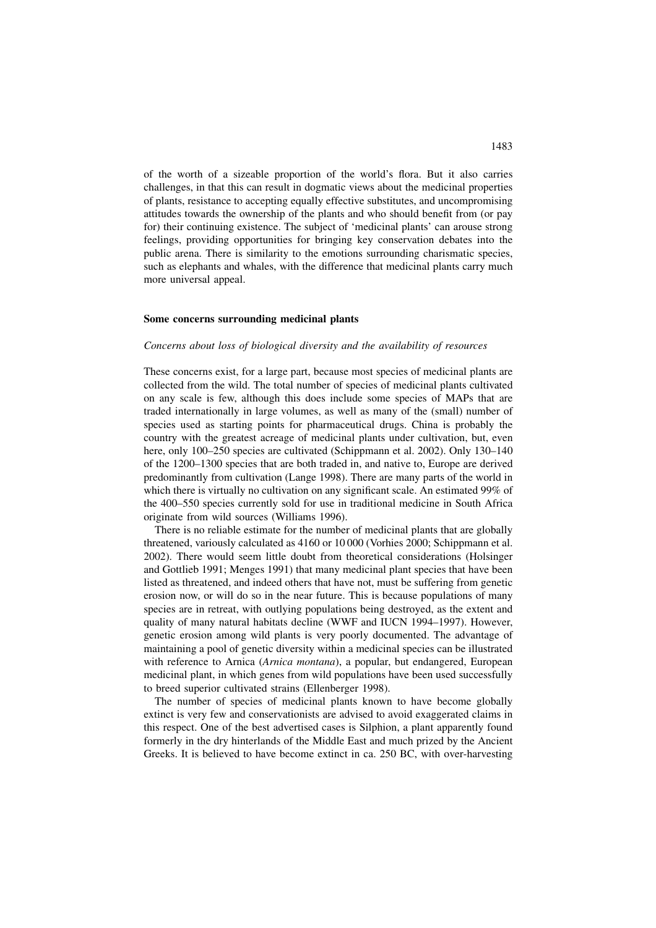of the worth of a sizeable proportion of the world's flora. But it also carries challenges, in that this can result in dogmatic views about the medicinal properties of plants, resistance to accepting equally effective substitutes, and uncompromising attitudes towards the ownership of the plants and who should benefit from (or pay for) their continuing existence. The subject of 'medicinal plants' can arouse strong feelings, providing opportunities for bringing key conservation debates into the public arena. There is similarity to the emotions surrounding charismatic species, such as elephants and whales, with the difference that medicinal plants carry much more universal appeal.

### Some concerns surrounding medicinal plants

#### Concerns about loss of biological diversity and the availability of resources

These concerns exist, for a large part, because most species of medicinal plants are collected from the wild. The total number of species of medicinal plants cultivated on any scale is few, although this does include some species of MAPs that are traded internationally in large volumes, as well as many of the (small) number of species used as starting points for pharmaceutical drugs. China is probably the country with the greatest acreage of medicinal plants under cultivation, but, even here, only 100–250 species are cultivated (Schippmann et al. 2002). Only 130–140 of the 1200–1300 species that are both traded in, and native to, Europe are derived predominantly from cultivation (Lange 1998). There are many parts of the world in which there is virtually no cultivation on any significant scale. An estimated 99% of the 400–550 species currently sold for use in traditional medicine in South Africa originate from wild sources (Williams 1996).

There is no reliable estimate for the number of medicinal plants that are globally threatened, variously calculated as 4160 or 10 000 (Vorhies 2000; Schippmann et al. 2002). There would seem little doubt from theoretical considerations (Holsinger and Gottlieb 1991; Menges 1991) that many medicinal plant species that have been listed as threatened, and indeed others that have not, must be suffering from genetic erosion now, or will do so in the near future. This is because populations of many species are in retreat, with outlying populations being destroyed, as the extent and quality of many natural habitats decline (WWF and IUCN 1994–1997). However, genetic erosion among wild plants is very poorly documented. The advantage of maintaining a pool of genetic diversity within a medicinal species can be illustrated with reference to Arnica (Arnica montana), a popular, but endangered, European medicinal plant, in which genes from wild populations have been used successfully to breed superior cultivated strains (Ellenberger 1998).

The number of species of medicinal plants known to have become globally extinct is very few and conservationists are advised to avoid exaggerated claims in this respect. One of the best advertised cases is Silphion, a plant apparently found formerly in the dry hinterlands of the Middle East and much prized by the Ancient Greeks. It is believed to have become extinct in ca. 250 BC, with over-harvesting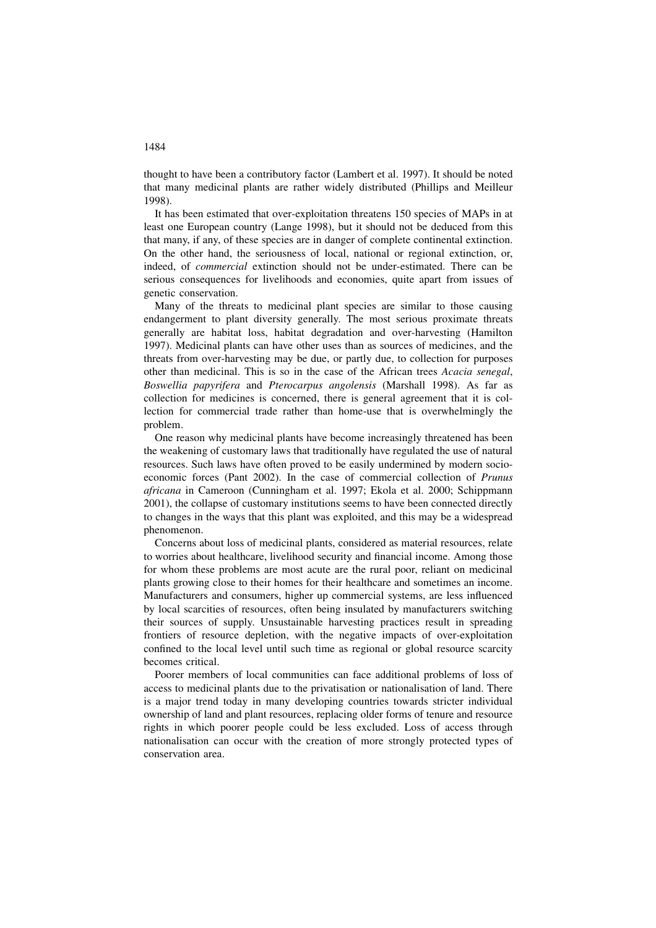thought to have been a contributory factor (Lambert et al. 1997). It should be noted that many medicinal plants are rather widely distributed (Phillips and Meilleur 1998).

It has been estimated that over-exploitation threatens 150 species of MAPs in at least one European country (Lange 1998), but it should not be deduced from this that many, if any, of these species are in danger of complete continental extinction. On the other hand, the seriousness of local, national or regional extinction, or, indeed, of commercial extinction should not be under-estimated. There can be serious consequences for livelihoods and economies, quite apart from issues of genetic conservation.

Many of the threats to medicinal plant species are similar to those causing endangerment to plant diversity generally. The most serious proximate threats generally are habitat loss, habitat degradation and over-harvesting (Hamilton 1997). Medicinal plants can have other uses than as sources of medicines, and the threats from over-harvesting may be due, or partly due, to collection for purposes other than medicinal. This is so in the case of the African trees Acacia senegal, Boswellia papyrifera and Pterocarpus angolensis (Marshall 1998). As far as collection for medicines is concerned, there is general agreement that it is collection for commercial trade rather than home-use that is overwhelmingly the problem.

One reason why medicinal plants have become increasingly threatened has been the weakening of customary laws that traditionally have regulated the use of natural resources. Such laws have often proved to be easily undermined by modern socioeconomic forces (Pant 2002). In the case of commercial collection of Prunus africana in Cameroon (Cunningham et al. 1997; Ekola et al. 2000; Schippmann 2001), the collapse of customary institutions seems to have been connected directly to changes in the ways that this plant was exploited, and this may be a widespread phenomenon.

Concerns about loss of medicinal plants, considered as material resources, relate to worries about healthcare, livelihood security and financial income. Among those for whom these problems are most acute are the rural poor, reliant on medicinal plants growing close to their homes for their healthcare and sometimes an income. Manufacturers and consumers, higher up commercial systems, are less influenced by local scarcities of resources, often being insulated by manufacturers switching their sources of supply. Unsustainable harvesting practices result in spreading frontiers of resource depletion, with the negative impacts of over-exploitation confined to the local level until such time as regional or global resource scarcity becomes critical.

Poorer members of local communities can face additional problems of loss of access to medicinal plants due to the privatisation or nationalisation of land. There is a major trend today in many developing countries towards stricter individual ownership of land and plant resources, replacing older forms of tenure and resource rights in which poorer people could be less excluded. Loss of access through nationalisation can occur with the creation of more strongly protected types of conservation area.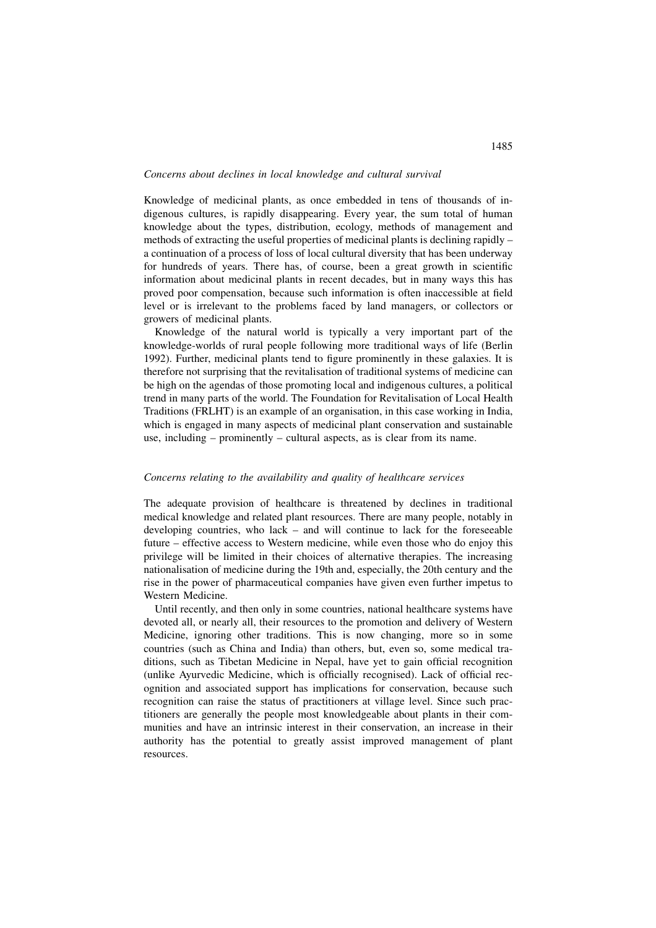### Concerns about declines in local knowledge and cultural survival

Knowledge of medicinal plants, as once embedded in tens of thousands of indigenous cultures, is rapidly disappearing. Every year, the sum total of human knowledge about the types, distribution, ecology, methods of management and methods of extracting the useful properties of medicinal plants is declining rapidly – a continuation of a process of loss of local cultural diversity that has been underway for hundreds of years. There has, of course, been a great growth in scientific information about medicinal plants in recent decades, but in many ways this has proved poor compensation, because such information is often inaccessible at field level or is irrelevant to the problems faced by land managers, or collectors or growers of medicinal plants.

Knowledge of the natural world is typically a very important part of the knowledge-worlds of rural people following more traditional ways of life (Berlin 1992). Further, medicinal plants tend to figure prominently in these galaxies. It is therefore not surprising that the revitalisation of traditional systems of medicine can be high on the agendas of those promoting local and indigenous cultures, a political trend in many parts of the world. The Foundation for Revitalisation of Local Health Traditions (FRLHT) is an example of an organisation, in this case working in India, which is engaged in many aspects of medicinal plant conservation and sustainable use, including – prominently – cultural aspects, as is clear from its name.

# Concerns relating to the availability and quality of healthcare services

The adequate provision of healthcare is threatened by declines in traditional medical knowledge and related plant resources. There are many people, notably in developing countries, who lack – and will continue to lack for the foreseeable future – effective access to Western medicine, while even those who do enjoy this privilege will be limited in their choices of alternative therapies. The increasing nationalisation of medicine during the 19th and, especially, the 20th century and the rise in the power of pharmaceutical companies have given even further impetus to Western Medicine.

Until recently, and then only in some countries, national healthcare systems have devoted all, or nearly all, their resources to the promotion and delivery of Western Medicine, ignoring other traditions. This is now changing, more so in some countries (such as China and India) than others, but, even so, some medical traditions, such as Tibetan Medicine in Nepal, have yet to gain official recognition (unlike Ayurvedic Medicine, which is officially recognised). Lack of official recognition and associated support has implications for conservation, because such recognition can raise the status of practitioners at village level. Since such practitioners are generally the people most knowledgeable about plants in their communities and have an intrinsic interest in their conservation, an increase in their authority has the potential to greatly assist improved management of plant resources.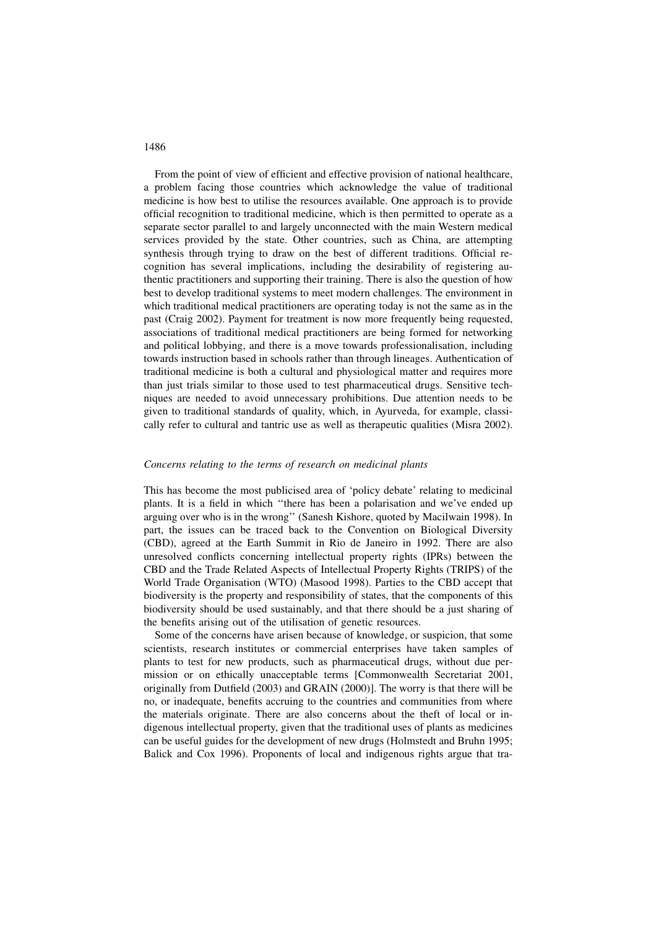From the point of view of efficient and effective provision of national healthcare, a problem facing those countries which acknowledge the value of traditional medicine is how best to utilise the resources available. One approach is to provide official recognition to traditional medicine, which is then permitted to operate as a separate sector parallel to and largely unconnected with the main Western medical services provided by the state. Other countries, such as China, are attempting synthesis through trying to draw on the best of different traditions. Official recognition has several implications, including the desirability of registering authentic practitioners and supporting their training. There is also the question of how best to develop traditional systems to meet modern challenges. The environment in which traditional medical practitioners are operating today is not the same as in the past (Craig 2002). Payment for treatment is now more frequently being requested, associations of traditional medical practitioners are being formed for networking and political lobbying, and there is a move towards professionalisation, including towards instruction based in schools rather than through lineages. Authentication of traditional medicine is both a cultural and physiological matter and requires more than just trials similar to those used to test pharmaceutical drugs. Sensitive techniques are needed to avoid unnecessary prohibitions. Due attention needs to be given to traditional standards of quality, which, in Ayurveda, for example, classically refer to cultural and tantric use as well as therapeutic qualities (Misra 2002).

### Concerns relating to the terms of research on medicinal plants

This has become the most publicised area of 'policy debate' relating to medicinal plants. It is a field in which ''there has been a polarisation and we've ended up arguing over who is in the wrong'' (Sanesh Kishore, quoted by Macilwain 1998). In part, the issues can be traced back to the Convention on Biological Diversity (CBD), agreed at the Earth Summit in Rio de Janeiro in 1992. There are also unresolved conflicts concerning intellectual property rights (IPRs) between the CBD and the Trade Related Aspects of Intellectual Property Rights (TRIPS) of the World Trade Organisation (WTO) (Masood 1998). Parties to the CBD accept that biodiversity is the property and responsibility of states, that the components of this biodiversity should be used sustainably, and that there should be a just sharing of the benefits arising out of the utilisation of genetic resources.

Some of the concerns have arisen because of knowledge, or suspicion, that some scientists, research institutes or commercial enterprises have taken samples of plants to test for new products, such as pharmaceutical drugs, without due permission or on ethically unacceptable terms [Commonwealth Secretariat 2001, originally from Dutfield (2003) and GRAIN (2000)]. The worry is that there will be no, or inadequate, benefits accruing to the countries and communities from where the materials originate. There are also concerns about the theft of local or indigenous intellectual property, given that the traditional uses of plants as medicines can be useful guides for the development of new drugs (Holmstedt and Bruhn 1995; Balick and Cox 1996). Proponents of local and indigenous rights argue that tra-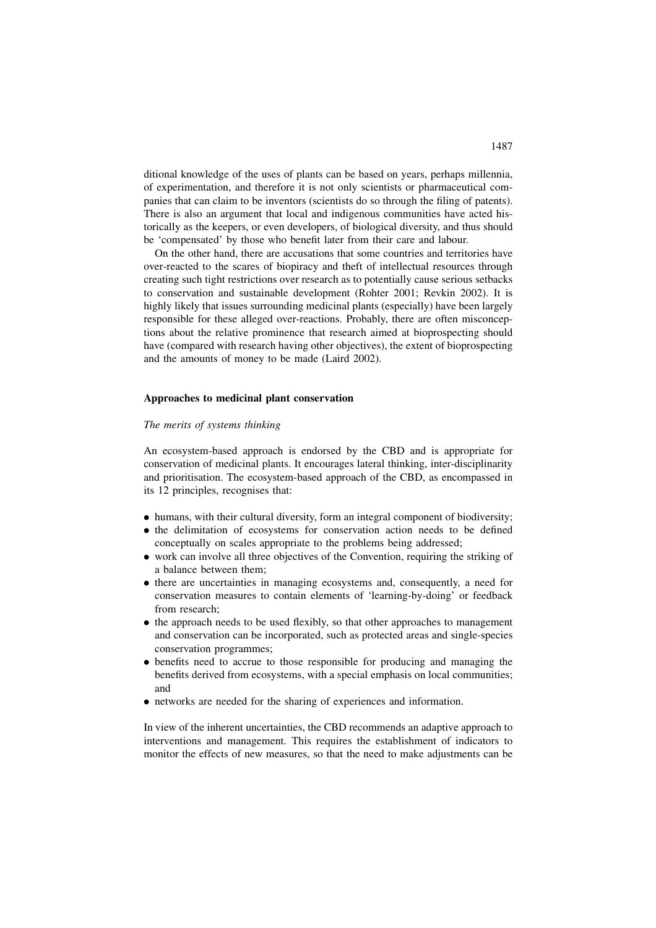ditional knowledge of the uses of plants can be based on years, perhaps millennia, of experimentation, and therefore it is not only scientists or pharmaceutical companies that can claim to be inventors (scientists do so through the filing of patents). There is also an argument that local and indigenous communities have acted historically as the keepers, or even developers, of biological diversity, and thus should be 'compensated' by those who benefit later from their care and labour.

On the other hand, there are accusations that some countries and territories have over-reacted to the scares of biopiracy and theft of intellectual resources through creating such tight restrictions over research as to potentially cause serious setbacks to conservation and sustainable development (Rohter 2001; Revkin 2002). It is highly likely that issues surrounding medicinal plants (especially) have been largely responsible for these alleged over-reactions. Probably, there are often misconceptions about the relative prominence that research aimed at bioprospecting should have (compared with research having other objectives), the extent of bioprospecting and the amounts of money to be made (Laird 2002).

#### Approaches to medicinal plant conservation

#### The merits of systems thinking

An ecosystem-based approach is endorsed by the CBD and is appropriate for conservation of medicinal plants. It encourages lateral thinking, inter-disciplinarity and prioritisation. The ecosystem-based approach of the CBD, as encompassed in its 12 principles, recognises that:

- . humans, with their cultural diversity, form an integral component of biodiversity;
- . the delimitation of ecosystems for conservation action needs to be defined conceptually on scales appropriate to the problems being addressed;
- . work can involve all three objectives of the Convention, requiring the striking of a balance between them;
- . there are uncertainties in managing ecosystems and, consequently, a need for conservation measures to contain elements of 'learning-by-doing' or feedback from research;
- . the approach needs to be used flexibly, so that other approaches to management and conservation can be incorporated, such as protected areas and single-species conservation programmes;
- . benefits need to accrue to those responsible for producing and managing the benefits derived from ecosystems, with a special emphasis on local communities; and
- . networks are needed for the sharing of experiences and information.

In view of the inherent uncertainties, the CBD recommends an adaptive approach to interventions and management. This requires the establishment of indicators to monitor the effects of new measures, so that the need to make adjustments can be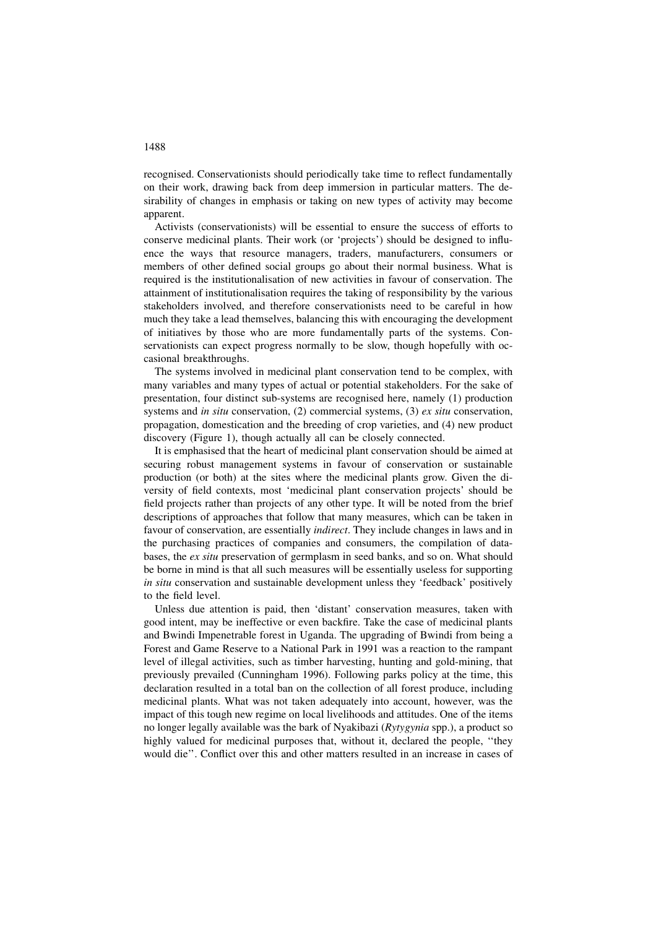recognised. Conservationists should periodically take time to reflect fundamentally on their work, drawing back from deep immersion in particular matters. The desirability of changes in emphasis or taking on new types of activity may become apparent.

Activists (conservationists) will be essential to ensure the success of efforts to conserve medicinal plants. Their work (or 'projects') should be designed to influence the ways that resource managers, traders, manufacturers, consumers or members of other defined social groups go about their normal business. What is required is the institutionalisation of new activities in favour of conservation. The attainment of institutionalisation requires the taking of responsibility by the various stakeholders involved, and therefore conservationists need to be careful in how much they take a lead themselves, balancing this with encouraging the development of initiatives by those who are more fundamentally parts of the systems. Conservationists can expect progress normally to be slow, though hopefully with occasional breakthroughs.

The systems involved in medicinal plant conservation tend to be complex, with many variables and many types of actual or potential stakeholders. For the sake of presentation, four distinct sub-systems are recognised here, namely (1) production systems and in situ conservation,  $(2)$  commercial systems,  $(3)$  ex situ conservation, propagation, domestication and the breeding of crop varieties, and (4) new product discovery (Figure 1), though actually all can be closely connected.

It is emphasised that the heart of medicinal plant conservation should be aimed at securing robust management systems in favour of conservation or sustainable production (or both) at the sites where the medicinal plants grow. Given the diversity of field contexts, most 'medicinal plant conservation projects' should be field projects rather than projects of any other type. It will be noted from the brief descriptions of approaches that follow that many measures, which can be taken in favour of conservation, are essentially *indirect*. They include changes in laws and in the purchasing practices of companies and consumers, the compilation of databases, the ex situ preservation of germplasm in seed banks, and so on. What should be borne in mind is that all such measures will be essentially useless for supporting in situ conservation and sustainable development unless they 'feedback' positively to the field level.

Unless due attention is paid, then 'distant' conservation measures, taken with good intent, may be ineffective or even backfire. Take the case of medicinal plants and Bwindi Impenetrable forest in Uganda. The upgrading of Bwindi from being a Forest and Game Reserve to a National Park in 1991 was a reaction to the rampant level of illegal activities, such as timber harvesting, hunting and gold-mining, that previously prevailed (Cunningham 1996). Following parks policy at the time, this declaration resulted in a total ban on the collection of all forest produce, including medicinal plants. What was not taken adequately into account, however, was the impact of this tough new regime on local livelihoods and attitudes. One of the items no longer legally available was the bark of Nyakibazi (Rytygynia spp.), a product so highly valued for medicinal purposes that, without it, declared the people, ''they would die''. Conflict over this and other matters resulted in an increase in cases of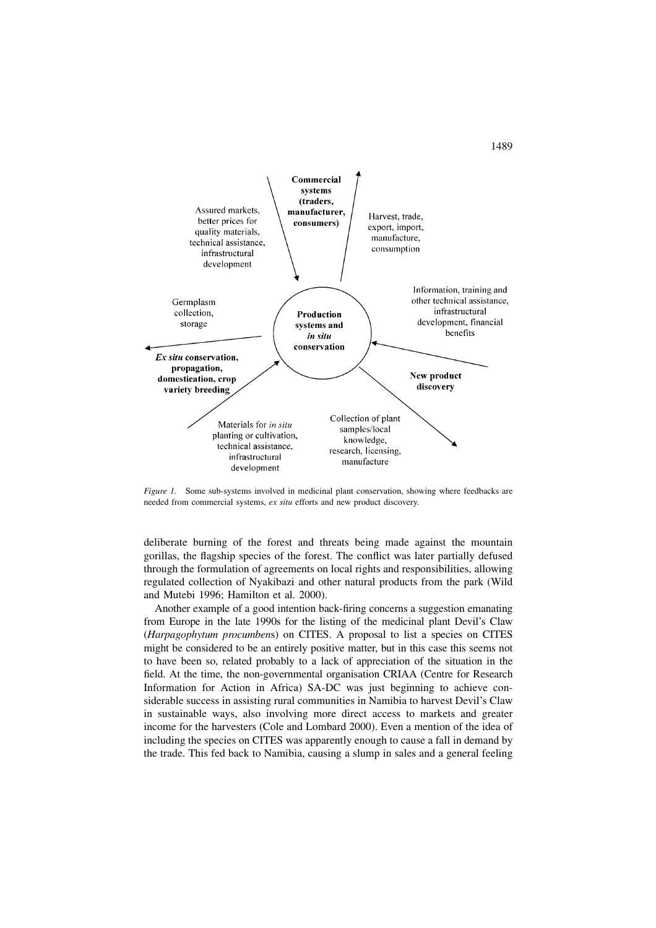

Figure 1. Some sub-systems involved in medicinal plant conservation, showing where feedbacks are needed from commercial systems, ex situ efforts and new product discovery.

deliberate burning of the forest and threats being made against the mountain gorillas, the flagship species of the forest. The conflict was later partially defused through the formulation of agreements on local rights and responsibilities, allowing regulated collection of Nyakibazi and other natural products from the park (Wild and Mutebi 1996; Hamilton et al. 2000).

Another example of a good intention back-firing concerns a suggestion emanating from Europe in the late 1990s for the listing of the medicinal plant Devil's Claw (Harpagophytum procumbens) on CITES. A proposal to list a species on CITES might be considered to be an entirely positive matter, but in this case this seems not to have been so, related probably to a lack of appreciation of the situation in the field. At the time, the non-governmental organisation CRIAA (Centre for Research Information for Action in Africa) SA-DC was just beginning to achieve considerable success in assisting rural communities in Namibia to harvest Devil's Claw in sustainable ways, also involving more direct access to markets and greater income for the harvesters (Cole and Lombard 2000). Even a mention of the idea of including the species on CITES was apparently enough to cause a fall in demand by the trade. This fed back to Namibia, causing a slump in sales and a general feeling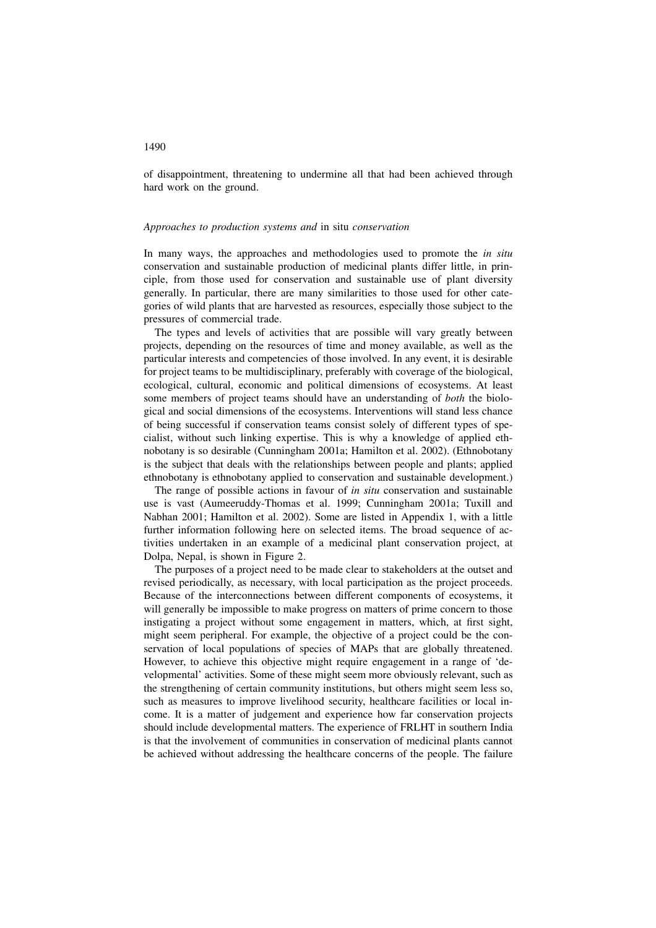of disappointment, threatening to undermine all that had been achieved through hard work on the ground.

### Approaches to production systems and in situ conservation

In many ways, the approaches and methodologies used to promote the *in situ* conservation and sustainable production of medicinal plants differ little, in principle, from those used for conservation and sustainable use of plant diversity generally. In particular, there are many similarities to those used for other categories of wild plants that are harvested as resources, especially those subject to the pressures of commercial trade.

The types and levels of activities that are possible will vary greatly between projects, depending on the resources of time and money available, as well as the particular interests and competencies of those involved. In any event, it is desirable for project teams to be multidisciplinary, preferably with coverage of the biological, ecological, cultural, economic and political dimensions of ecosystems. At least some members of project teams should have an understanding of *both* the biological and social dimensions of the ecosystems. Interventions will stand less chance of being successful if conservation teams consist solely of different types of specialist, without such linking expertise. This is why a knowledge of applied ethnobotany is so desirable (Cunningham 2001a; Hamilton et al. 2002). (Ethnobotany is the subject that deals with the relationships between people and plants; applied ethnobotany is ethnobotany applied to conservation and sustainable development.)

The range of possible actions in favour of in situ conservation and sustainable use is vast (Aumeeruddy-Thomas et al. 1999; Cunningham 2001a; Tuxill and Nabhan 2001; Hamilton et al. 2002). Some are listed in Appendix 1, with a little further information following here on selected items. The broad sequence of activities undertaken in an example of a medicinal plant conservation project, at Dolpa, Nepal, is shown in Figure 2.

The purposes of a project need to be made clear to stakeholders at the outset and revised periodically, as necessary, with local participation as the project proceeds. Because of the interconnections between different components of ecosystems, it will generally be impossible to make progress on matters of prime concern to those instigating a project without some engagement in matters, which, at first sight, might seem peripheral. For example, the objective of a project could be the conservation of local populations of species of MAPs that are globally threatened. However, to achieve this objective might require engagement in a range of 'developmental' activities. Some of these might seem more obviously relevant, such as the strengthening of certain community institutions, but others might seem less so, such as measures to improve livelihood security, healthcare facilities or local income. It is a matter of judgement and experience how far conservation projects should include developmental matters. The experience of FRLHT in southern India is that the involvement of communities in conservation of medicinal plants cannot be achieved without addressing the healthcare concerns of the people. The failure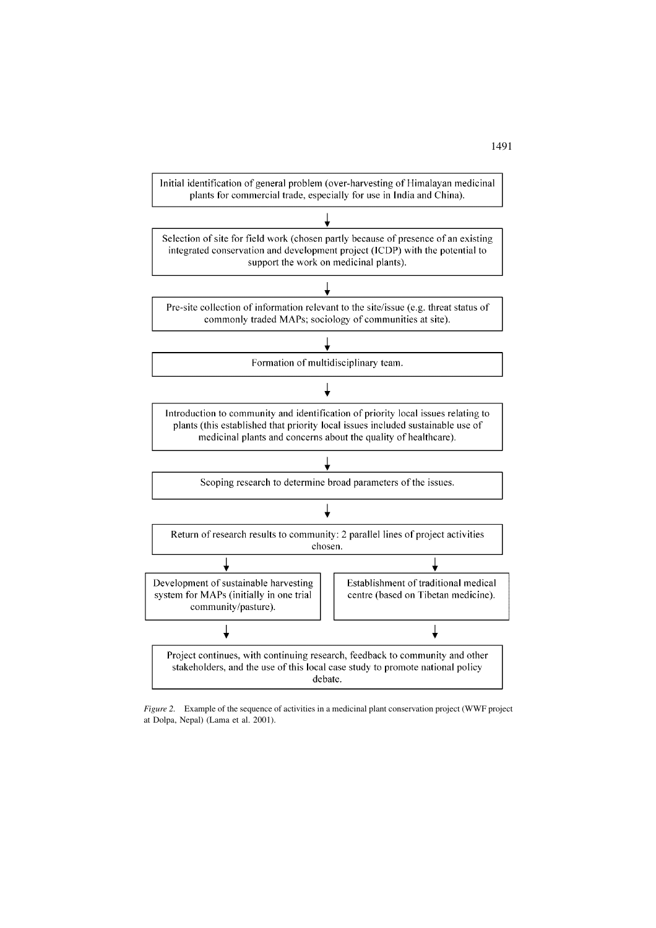

Figure 2. Example of the sequence of activities in a medicinal plant conservation project (WWF project at Dolpa, Nepal) (Lama et al. 2001).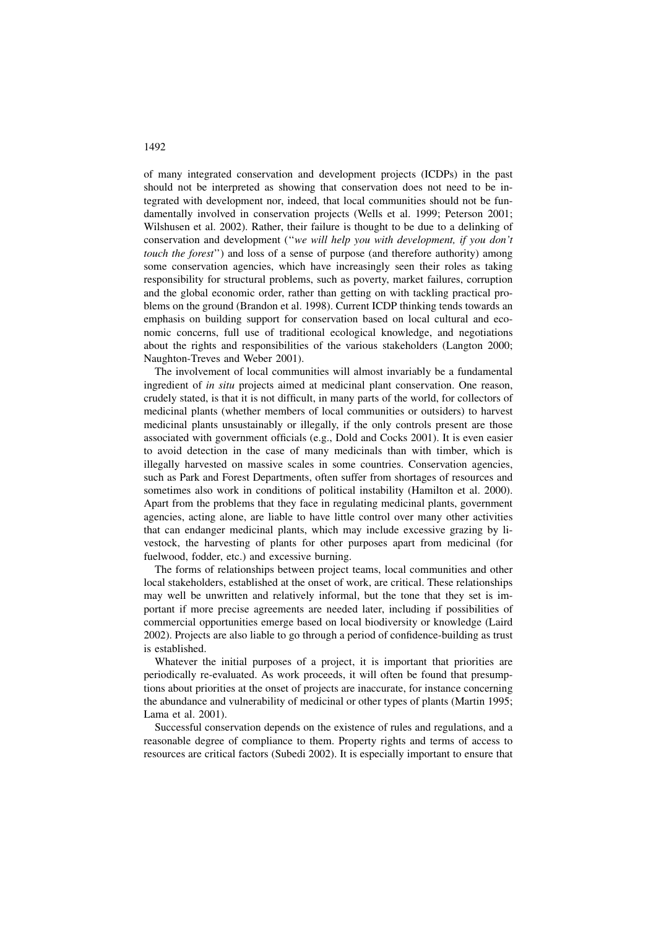of many integrated conservation and development projects (ICDPs) in the past should not be interpreted as showing that conservation does not need to be integrated with development nor, indeed, that local communities should not be fundamentally involved in conservation projects (Wells et al. 1999; Peterson 2001; Wilshusen et al. 2002). Rather, their failure is thought to be due to a delinking of conservation and development (''we will help you with development, if you don't touch the forest'') and loss of a sense of purpose (and therefore authority) among some conservation agencies, which have increasingly seen their roles as taking responsibility for structural problems, such as poverty, market failures, corruption and the global economic order, rather than getting on with tackling practical problems on the ground (Brandon et al. 1998). Current ICDP thinking tends towards an emphasis on building support for conservation based on local cultural and economic concerns, full use of traditional ecological knowledge, and negotiations about the rights and responsibilities of the various stakeholders (Langton 2000; Naughton-Treves and Weber 2001).

The involvement of local communities will almost invariably be a fundamental ingredient of in situ projects aimed at medicinal plant conservation. One reason, crudely stated, is that it is not difficult, in many parts of the world, for collectors of medicinal plants (whether members of local communities or outsiders) to harvest medicinal plants unsustainably or illegally, if the only controls present are those associated with government officials (e.g., Dold and Cocks 2001). It is even easier to avoid detection in the case of many medicinals than with timber, which is illegally harvested on massive scales in some countries. Conservation agencies, such as Park and Forest Departments, often suffer from shortages of resources and sometimes also work in conditions of political instability (Hamilton et al. 2000). Apart from the problems that they face in regulating medicinal plants, government agencies, acting alone, are liable to have little control over many other activities that can endanger medicinal plants, which may include excessive grazing by livestock, the harvesting of plants for other purposes apart from medicinal (for fuelwood, fodder, etc.) and excessive burning.

The forms of relationships between project teams, local communities and other local stakeholders, established at the onset of work, are critical. These relationships may well be unwritten and relatively informal, but the tone that they set is important if more precise agreements are needed later, including if possibilities of commercial opportunities emerge based on local biodiversity or knowledge (Laird 2002). Projects are also liable to go through a period of confidence-building as trust is established.

Whatever the initial purposes of a project, it is important that priorities are periodically re-evaluated. As work proceeds, it will often be found that presumptions about priorities at the onset of projects are inaccurate, for instance concerning the abundance and vulnerability of medicinal or other types of plants (Martin 1995; Lama et al. 2001).

Successful conservation depends on the existence of rules and regulations, and a reasonable degree of compliance to them. Property rights and terms of access to resources are critical factors (Subedi 2002). It is especially important to ensure that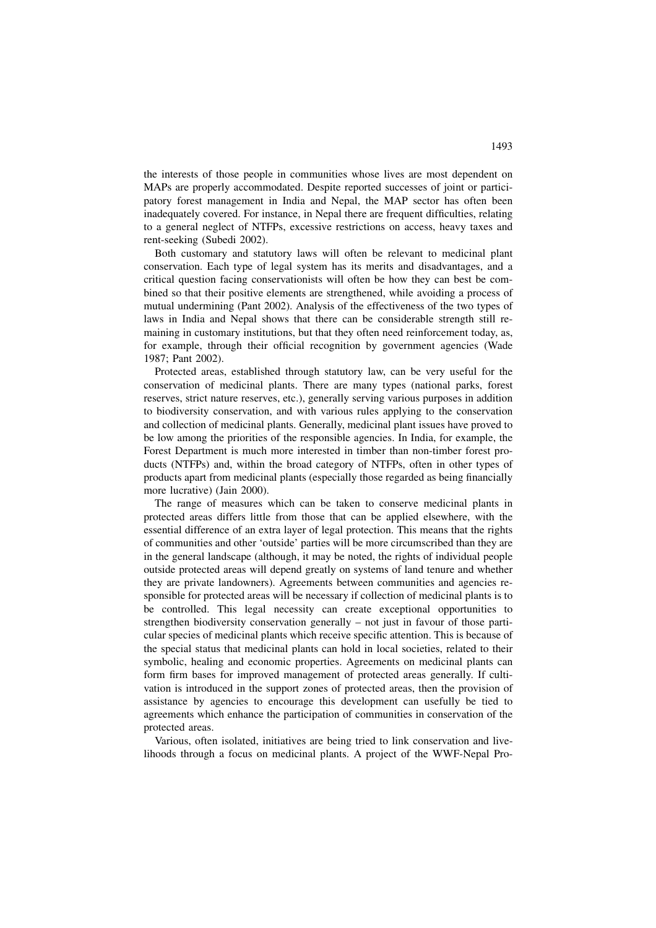the interests of those people in communities whose lives are most dependent on MAPs are properly accommodated. Despite reported successes of joint or participatory forest management in India and Nepal, the MAP sector has often been inadequately covered. For instance, in Nepal there are frequent difficulties, relating to a general neglect of NTFPs, excessive restrictions on access, heavy taxes and rent-seeking (Subedi 2002).

Both customary and statutory laws will often be relevant to medicinal plant conservation. Each type of legal system has its merits and disadvantages, and a critical question facing conservationists will often be how they can best be combined so that their positive elements are strengthened, while avoiding a process of mutual undermining (Pant 2002). Analysis of the effectiveness of the two types of laws in India and Nepal shows that there can be considerable strength still remaining in customary institutions, but that they often need reinforcement today, as, for example, through their official recognition by government agencies (Wade 1987; Pant 2002).

Protected areas, established through statutory law, can be very useful for the conservation of medicinal plants. There are many types (national parks, forest reserves, strict nature reserves, etc.), generally serving various purposes in addition to biodiversity conservation, and with various rules applying to the conservation and collection of medicinal plants. Generally, medicinal plant issues have proved to be low among the priorities of the responsible agencies. In India, for example, the Forest Department is much more interested in timber than non-timber forest products (NTFPs) and, within the broad category of NTFPs, often in other types of products apart from medicinal plants (especially those regarded as being financially more lucrative) (Jain 2000).

The range of measures which can be taken to conserve medicinal plants in protected areas differs little from those that can be applied elsewhere, with the essential difference of an extra layer of legal protection. This means that the rights of communities and other 'outside' parties will be more circumscribed than they are in the general landscape (although, it may be noted, the rights of individual people outside protected areas will depend greatly on systems of land tenure and whether they are private landowners). Agreements between communities and agencies responsible for protected areas will be necessary if collection of medicinal plants is to be controlled. This legal necessity can create exceptional opportunities to strengthen biodiversity conservation generally – not just in favour of those particular species of medicinal plants which receive specific attention. This is because of the special status that medicinal plants can hold in local societies, related to their symbolic, healing and economic properties. Agreements on medicinal plants can form firm bases for improved management of protected areas generally. If cultivation is introduced in the support zones of protected areas, then the provision of assistance by agencies to encourage this development can usefully be tied to agreements which enhance the participation of communities in conservation of the protected areas.

Various, often isolated, initiatives are being tried to link conservation and livelihoods through a focus on medicinal plants. A project of the WWF-Nepal Pro-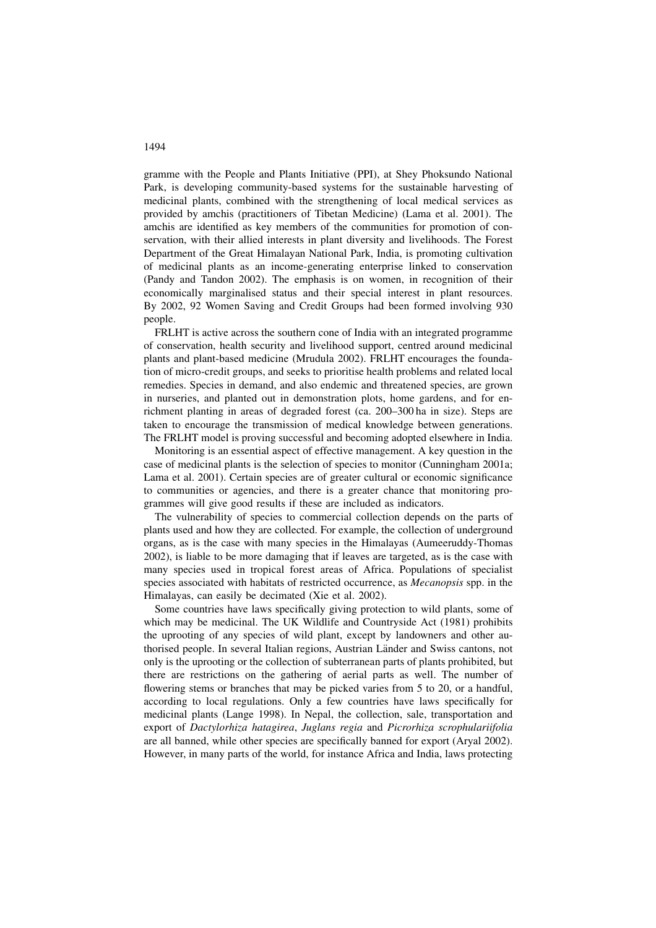gramme with the People and Plants Initiative (PPI), at Shey Phoksundo National Park, is developing community-based systems for the sustainable harvesting of medicinal plants, combined with the strengthening of local medical services as provided by amchis (practitioners of Tibetan Medicine) (Lama et al. 2001). The amchis are identified as key members of the communities for promotion of conservation, with their allied interests in plant diversity and livelihoods. The Forest Department of the Great Himalayan National Park, India, is promoting cultivation of medicinal plants as an income-generating enterprise linked to conservation (Pandy and Tandon 2002). The emphasis is on women, in recognition of their economically marginalised status and their special interest in plant resources. By 2002, 92 Women Saving and Credit Groups had been formed involving 930 people.

FRLHT is active across the southern cone of India with an integrated programme of conservation, health security and livelihood support, centred around medicinal plants and plant-based medicine (Mrudula 2002). FRLHT encourages the foundation of micro-credit groups, and seeks to prioritise health problems and related local remedies. Species in demand, and also endemic and threatened species, are grown in nurseries, and planted out in demonstration plots, home gardens, and for enrichment planting in areas of degraded forest (ca. 200–300 ha in size). Steps are taken to encourage the transmission of medical knowledge between generations. The FRLHT model is proving successful and becoming adopted elsewhere in India.

Monitoring is an essential aspect of effective management. A key question in the case of medicinal plants is the selection of species to monitor (Cunningham 2001a; Lama et al. 2001). Certain species are of greater cultural or economic significance to communities or agencies, and there is a greater chance that monitoring programmes will give good results if these are included as indicators.

The vulnerability of species to commercial collection depends on the parts of plants used and how they are collected. For example, the collection of underground organs, as is the case with many species in the Himalayas (Aumeeruddy-Thomas 2002), is liable to be more damaging that if leaves are targeted, as is the case with many species used in tropical forest areas of Africa. Populations of specialist species associated with habitats of restricted occurrence, as Mecanopsis spp. in the Himalayas, can easily be decimated (Xie et al. 2002).

Some countries have laws specifically giving protection to wild plants, some of which may be medicinal. The UK Wildlife and Countryside Act (1981) prohibits the uprooting of any species of wild plant, except by landowners and other authorised people. In several Italian regions, Austrian Länder and Swiss cantons, not only is the uprooting or the collection of subterranean parts of plants prohibited, but there are restrictions on the gathering of aerial parts as well. The number of flowering stems or branches that may be picked varies from 5 to 20, or a handful, according to local regulations. Only a few countries have laws specifically for medicinal plants (Lange 1998). In Nepal, the collection, sale, transportation and export of Dactylorhiza hatagirea, Juglans regia and Picrorhiza scrophulariifolia are all banned, while other species are specifically banned for export (Aryal 2002). However, in many parts of the world, for instance Africa and India, laws protecting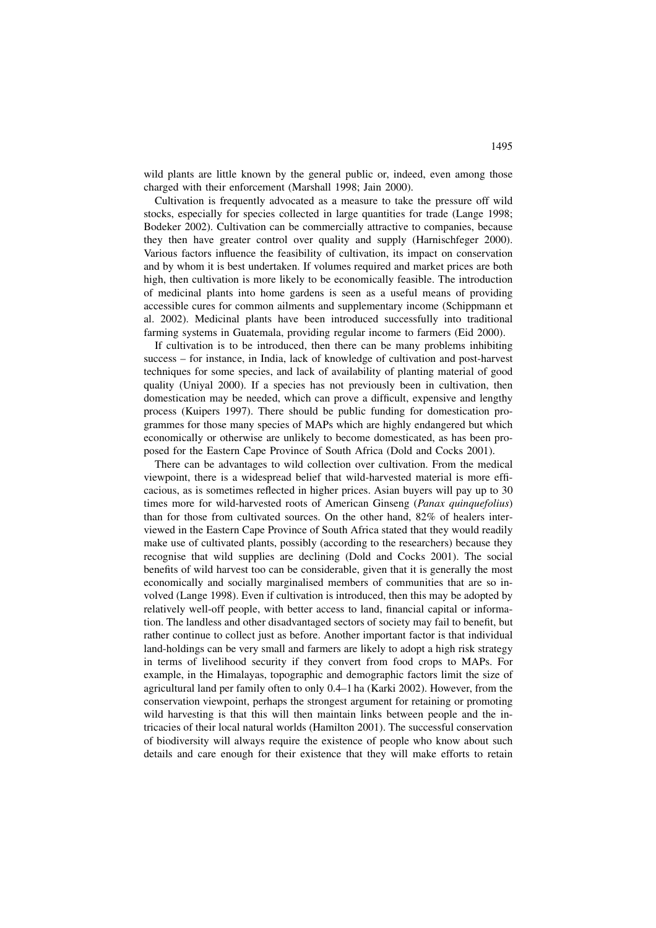wild plants are little known by the general public or, indeed, even among those charged with their enforcement (Marshall 1998; Jain 2000).

Cultivation is frequently advocated as a measure to take the pressure off wild stocks, especially for species collected in large quantities for trade (Lange 1998; Bodeker 2002). Cultivation can be commercially attractive to companies, because they then have greater control over quality and supply (Harnischfeger 2000). Various factors influence the feasibility of cultivation, its impact on conservation and by whom it is best undertaken. If volumes required and market prices are both high, then cultivation is more likely to be economically feasible. The introduction of medicinal plants into home gardens is seen as a useful means of providing accessible cures for common ailments and supplementary income (Schippmann et al. 2002). Medicinal plants have been introduced successfully into traditional farming systems in Guatemala, providing regular income to farmers (Eid 2000).

If cultivation is to be introduced, then there can be many problems inhibiting success – for instance, in India, lack of knowledge of cultivation and post-harvest techniques for some species, and lack of availability of planting material of good quality (Uniyal 2000). If a species has not previously been in cultivation, then domestication may be needed, which can prove a difficult, expensive and lengthy process (Kuipers 1997). There should be public funding for domestication programmes for those many species of MAPs which are highly endangered but which economically or otherwise are unlikely to become domesticated, as has been proposed for the Eastern Cape Province of South Africa (Dold and Cocks 2001).

There can be advantages to wild collection over cultivation. From the medical viewpoint, there is a widespread belief that wild-harvested material is more efficacious, as is sometimes reflected in higher prices. Asian buyers will pay up to 30 times more for wild-harvested roots of American Ginseng (Panax quinquefolius) than for those from cultivated sources. On the other hand, 82% of healers interviewed in the Eastern Cape Province of South Africa stated that they would readily make use of cultivated plants, possibly (according to the researchers) because they recognise that wild supplies are declining (Dold and Cocks 2001). The social benefits of wild harvest too can be considerable, given that it is generally the most economically and socially marginalised members of communities that are so involved (Lange 1998). Even if cultivation is introduced, then this may be adopted by relatively well-off people, with better access to land, financial capital or information. The landless and other disadvantaged sectors of society may fail to benefit, but rather continue to collect just as before. Another important factor is that individual land-holdings can be very small and farmers are likely to adopt a high risk strategy in terms of livelihood security if they convert from food crops to MAPs. For example, in the Himalayas, topographic and demographic factors limit the size of agricultural land per family often to only 0.4–1 ha (Karki 2002). However, from the conservation viewpoint, perhaps the strongest argument for retaining or promoting wild harvesting is that this will then maintain links between people and the intricacies of their local natural worlds (Hamilton 2001). The successful conservation of biodiversity will always require the existence of people who know about such details and care enough for their existence that they will make efforts to retain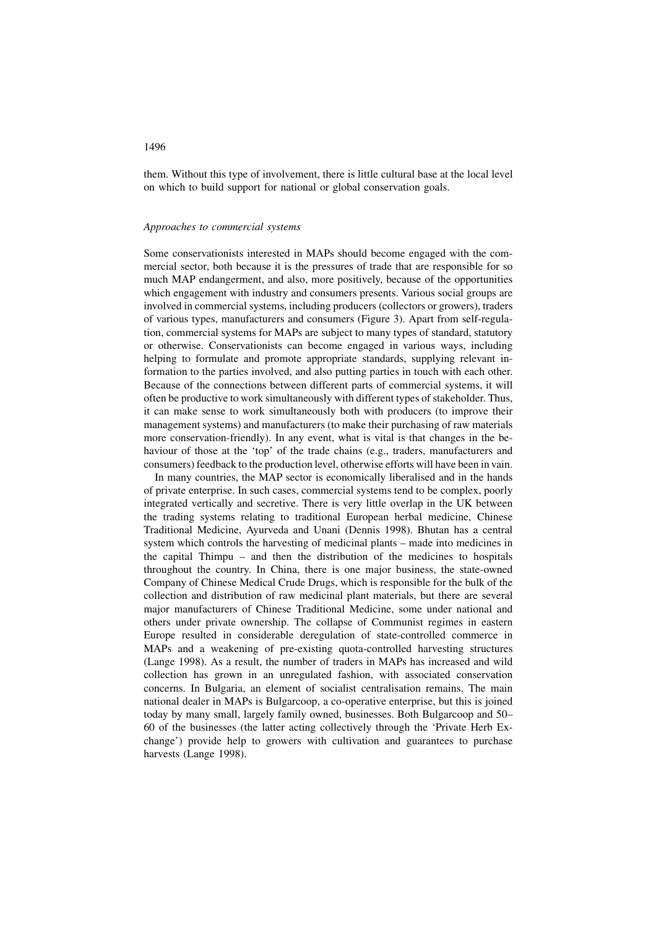them. Without this type of involvement, there is little cultural base at the local level on which to build support for national or global conservation goals.

#### Approaches to commercial systems

Some conservationists interested in MAPs should become engaged with the commercial sector, both because it is the pressures of trade that are responsible for so much MAP endangerment, and also, more positively, because of the opportunities which engagement with industry and consumers presents. Various social groups are involved in commercial systems, including producers (collectors or growers), traders of various types, manufacturers and consumers (Figure 3). Apart from self-regulation, commercial systems for MAPs are subject to many types of standard, statutory or otherwise. Conservationists can become engaged in various ways, including helping to formulate and promote appropriate standards, supplying relevant information to the parties involved, and also putting parties in touch with each other. Because of the connections between different parts of commercial systems, it will often be productive to work simultaneously with different types of stakeholder. Thus, it can make sense to work simultaneously both with producers (to improve their management systems) and manufacturers (to make their purchasing of raw materials more conservation-friendly). In any event, what is vital is that changes in the behaviour of those at the 'top' of the trade chains (e.g., traders, manufacturers and consumers) feedback to the production level, otherwise efforts will have been in vain.

In many countries, the MAP sector is economically liberalised and in the hands of private enterprise. In such cases, commercial systems tend to be complex, poorly integrated vertically and secretive. There is very little overlap in the UK between the trading systems relating to traditional European herbal medicine, Chinese Traditional Medicine, Ayurveda and Unani (Dennis 1998). Bhutan has a central system which controls the harvesting of medicinal plants – made into medicines in the capital Thimpu – and then the distribution of the medicines to hospitals throughout the country. In China, there is one major business, the state-owned Company of Chinese Medical Crude Drugs, which is responsible for the bulk of the collection and distribution of raw medicinal plant materials, but there are several major manufacturers of Chinese Traditional Medicine, some under national and others under private ownership. The collapse of Communist regimes in eastern Europe resulted in considerable deregulation of state-controlled commerce in MAPs and a weakening of pre-existing quota-controlled harvesting structures (Lange 1998). As a result, the number of traders in MAPs has increased and wild collection has grown in an unregulated fashion, with associated conservation concerns. In Bulgaria, an element of socialist centralisation remains. The main national dealer in MAPs is Bulgarcoop, a co-operative enterprise, but this is joined today by many small, largely family owned, businesses. Both Bulgarcoop and 50– 60 of the businesses (the latter acting collectively through the 'Private Herb Exchange') provide help to growers with cultivation and guarantees to purchase harvests (Lange 1998).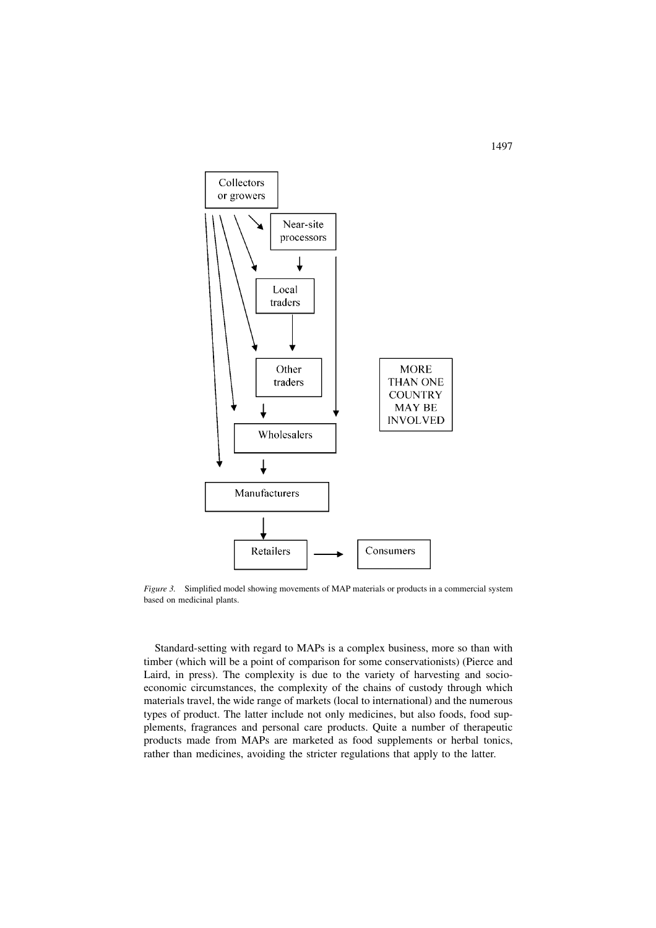

Figure 3. Simplified model showing movements of MAP materials or products in a commercial system based on medicinal plants.

Standard-setting with regard to MAPs is a complex business, more so than with timber (which will be a point of comparison for some conservationists) (Pierce and Laird, in press). The complexity is due to the variety of harvesting and socioeconomic circumstances, the complexity of the chains of custody through which materials travel, the wide range of markets (local to international) and the numerous types of product. The latter include not only medicines, but also foods, food supplements, fragrances and personal care products. Quite a number of therapeutic products made from MAPs are marketed as food supplements or herbal tonics, rather than medicines, avoiding the stricter regulations that apply to the latter.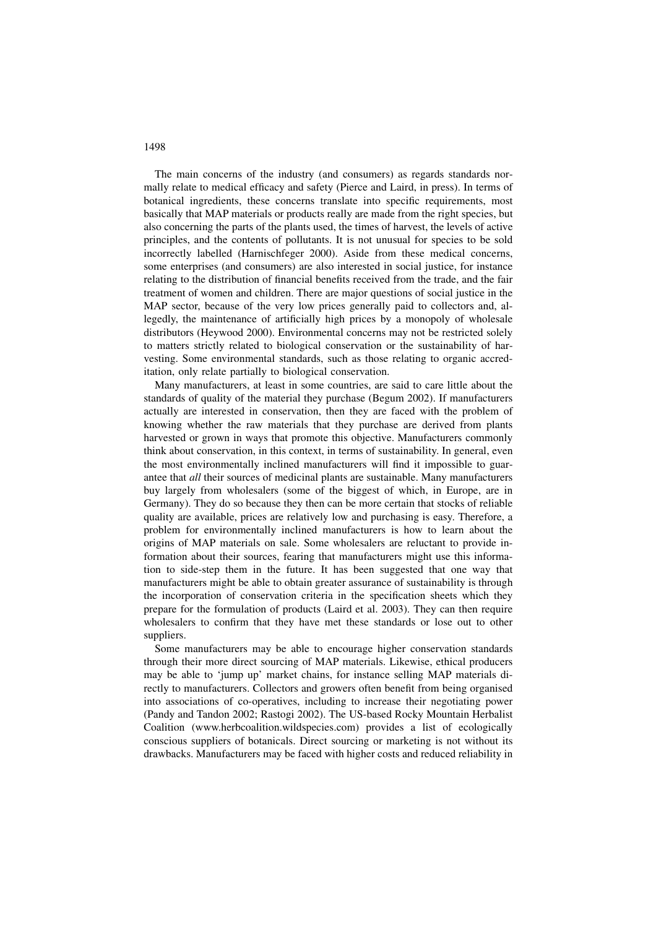The main concerns of the industry (and consumers) as regards standards normally relate to medical efficacy and safety (Pierce and Laird, in press). In terms of botanical ingredients, these concerns translate into specific requirements, most basically that MAP materials or products really are made from the right species, but also concerning the parts of the plants used, the times of harvest, the levels of active principles, and the contents of pollutants. It is not unusual for species to be sold incorrectly labelled (Harnischfeger 2000). Aside from these medical concerns, some enterprises (and consumers) are also interested in social justice, for instance relating to the distribution of financial benefits received from the trade, and the fair treatment of women and children. There are major questions of social justice in the MAP sector, because of the very low prices generally paid to collectors and, allegedly, the maintenance of artificially high prices by a monopoly of wholesale distributors (Heywood 2000). Environmental concerns may not be restricted solely to matters strictly related to biological conservation or the sustainability of harvesting. Some environmental standards, such as those relating to organic accreditation, only relate partially to biological conservation.

Many manufacturers, at least in some countries, are said to care little about the standards of quality of the material they purchase (Begum 2002). If manufacturers actually are interested in conservation, then they are faced with the problem of knowing whether the raw materials that they purchase are derived from plants harvested or grown in ways that promote this objective. Manufacturers commonly think about conservation, in this context, in terms of sustainability. In general, even the most environmentally inclined manufacturers will find it impossible to guarantee that all their sources of medicinal plants are sustainable. Many manufacturers buy largely from wholesalers (some of the biggest of which, in Europe, are in Germany). They do so because they then can be more certain that stocks of reliable quality are available, prices are relatively low and purchasing is easy. Therefore, a problem for environmentally inclined manufacturers is how to learn about the origins of MAP materials on sale. Some wholesalers are reluctant to provide information about their sources, fearing that manufacturers might use this information to side-step them in the future. It has been suggested that one way that manufacturers might be able to obtain greater assurance of sustainability is through the incorporation of conservation criteria in the specification sheets which they prepare for the formulation of products (Laird et al. 2003). They can then require wholesalers to confirm that they have met these standards or lose out to other suppliers.

Some manufacturers may be able to encourage higher conservation standards through their more direct sourcing of MAP materials. Likewise, ethical producers may be able to 'jump up' market chains, for instance selling MAP materials directly to manufacturers. Collectors and growers often benefit from being organised into associations of co-operatives, including to increase their negotiating power (Pandy and Tandon 2002; Rastogi 2002). The US-based Rocky Mountain Herbalist Coalition (www.herbcoalition.wildspecies.com) provides a list of ecologically conscious suppliers of botanicals. Direct sourcing or marketing is not without its drawbacks. Manufacturers may be faced with higher costs and reduced reliability in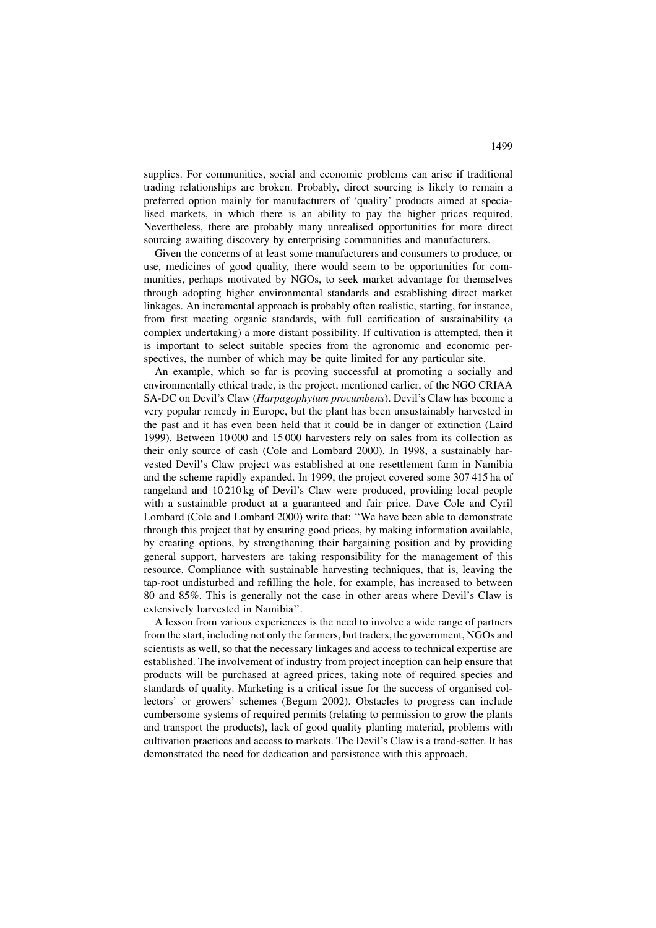supplies. For communities, social and economic problems can arise if traditional trading relationships are broken. Probably, direct sourcing is likely to remain a preferred option mainly for manufacturers of 'quality' products aimed at specialised markets, in which there is an ability to pay the higher prices required. Nevertheless, there are probably many unrealised opportunities for more direct sourcing awaiting discovery by enterprising communities and manufacturers.

Given the concerns of at least some manufacturers and consumers to produce, or use, medicines of good quality, there would seem to be opportunities for communities, perhaps motivated by NGOs, to seek market advantage for themselves through adopting higher environmental standards and establishing direct market linkages. An incremental approach is probably often realistic, starting, for instance, from first meeting organic standards, with full certification of sustainability (a complex undertaking) a more distant possibility. If cultivation is attempted, then it is important to select suitable species from the agronomic and economic perspectives, the number of which may be quite limited for any particular site.

An example, which so far is proving successful at promoting a socially and environmentally ethical trade, is the project, mentioned earlier, of the NGO CRIAA SA-DC on Devil's Claw (Harpagophytum procumbens). Devil's Claw has become a very popular remedy in Europe, but the plant has been unsustainably harvested in the past and it has even been held that it could be in danger of extinction (Laird 1999). Between 10 000 and 15 000 harvesters rely on sales from its collection as their only source of cash (Cole and Lombard 2000). In 1998, a sustainably harvested Devil's Claw project was established at one resettlement farm in Namibia and the scheme rapidly expanded. In 1999, the project covered some 307 415 ha of rangeland and 10 210 kg of Devil's Claw were produced, providing local people with a sustainable product at a guaranteed and fair price. Dave Cole and Cyril Lombard (Cole and Lombard 2000) write that: ''We have been able to demonstrate through this project that by ensuring good prices, by making information available, by creating options, by strengthening their bargaining position and by providing general support, harvesters are taking responsibility for the management of this resource. Compliance with sustainable harvesting techniques, that is, leaving the tap-root undisturbed and refilling the hole, for example, has increased to between 80 and 85%. This is generally not the case in other areas where Devil's Claw is extensively harvested in Namibia''.

A lesson from various experiences is the need to involve a wide range of partners from the start, including not only the farmers, but traders, the government, NGOs and scientists as well, so that the necessary linkages and access to technical expertise are established. The involvement of industry from project inception can help ensure that products will be purchased at agreed prices, taking note of required species and standards of quality. Marketing is a critical issue for the success of organised collectors' or growers' schemes (Begum 2002). Obstacles to progress can include cumbersome systems of required permits (relating to permission to grow the plants and transport the products), lack of good quality planting material, problems with cultivation practices and access to markets. The Devil's Claw is a trend-setter. It has demonstrated the need for dedication and persistence with this approach.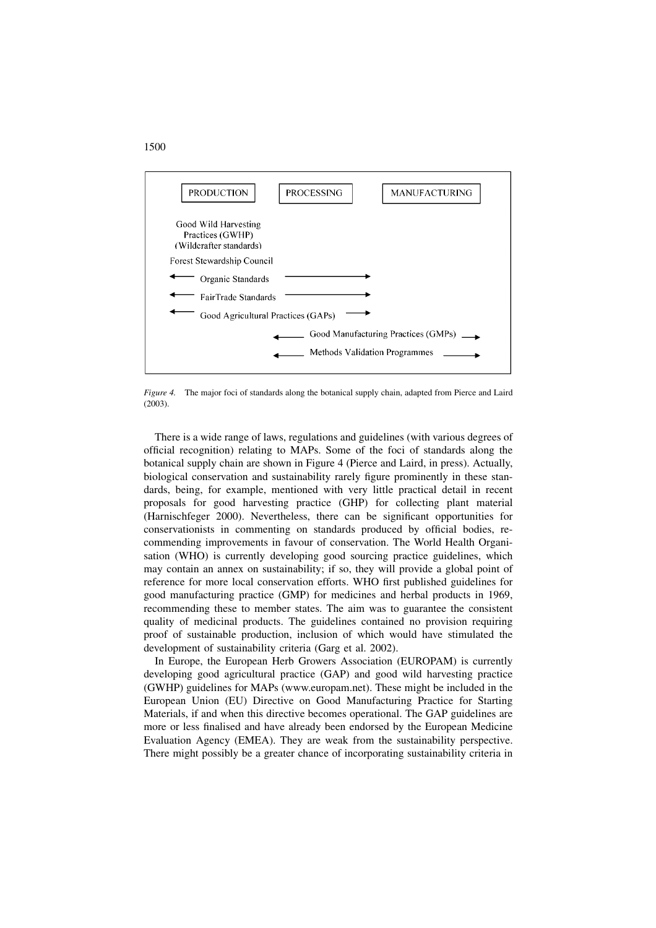

Figure 4. The major foci of standards along the botanical supply chain, adapted from Pierce and Laird (2003).

There is a wide range of laws, regulations and guidelines (with various degrees of official recognition) relating to MAPs. Some of the foci of standards along the botanical supply chain are shown in Figure 4 (Pierce and Laird, in press). Actually, biological conservation and sustainability rarely figure prominently in these standards, being, for example, mentioned with very little practical detail in recent proposals for good harvesting practice (GHP) for collecting plant material (Harnischfeger 2000). Nevertheless, there can be significant opportunities for conservationists in commenting on standards produced by official bodies, recommending improvements in favour of conservation. The World Health Organisation (WHO) is currently developing good sourcing practice guidelines, which may contain an annex on sustainability; if so, they will provide a global point of reference for more local conservation efforts. WHO first published guidelines for good manufacturing practice (GMP) for medicines and herbal products in 1969, recommending these to member states. The aim was to guarantee the consistent quality of medicinal products. The guidelines contained no provision requiring proof of sustainable production, inclusion of which would have stimulated the development of sustainability criteria (Garg et al. 2002).

In Europe, the European Herb Growers Association (EUROPAM) is currently developing good agricultural practice (GAP) and good wild harvesting practice (GWHP) guidelines for MAPs (www.europam.net). These might be included in the European Union (EU) Directive on Good Manufacturing Practice for Starting Materials, if and when this directive becomes operational. The GAP guidelines are more or less finalised and have already been endorsed by the European Medicine Evaluation Agency (EMEA). They are weak from the sustainability perspective. There might possibly be a greater chance of incorporating sustainability criteria in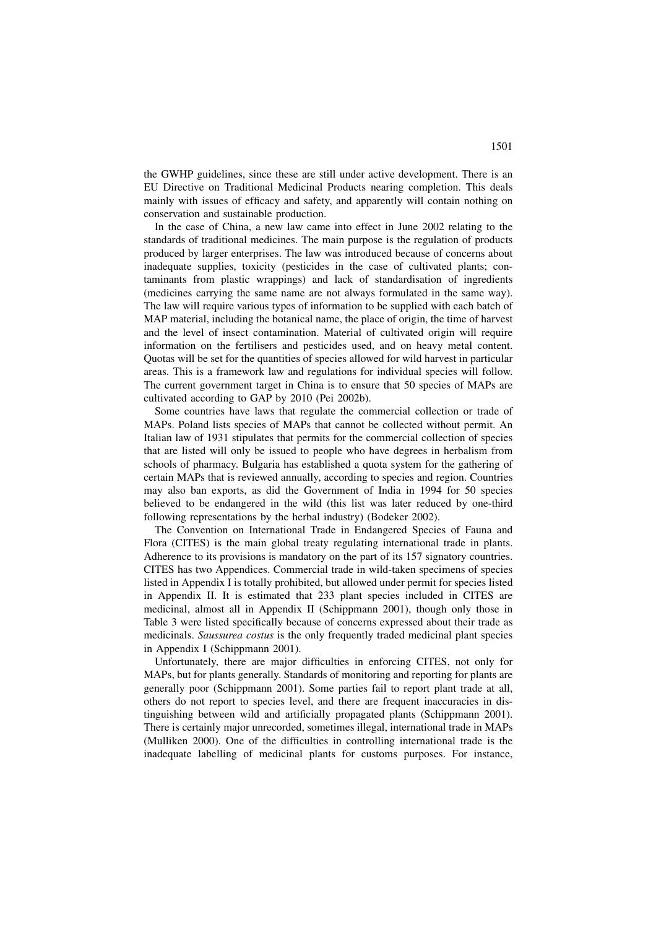the GWHP guidelines, since these are still under active development. There is an EU Directive on Traditional Medicinal Products nearing completion. This deals mainly with issues of efficacy and safety, and apparently will contain nothing on conservation and sustainable production.

In the case of China, a new law came into effect in June 2002 relating to the standards of traditional medicines. The main purpose is the regulation of products produced by larger enterprises. The law was introduced because of concerns about inadequate supplies, toxicity (pesticides in the case of cultivated plants; contaminants from plastic wrappings) and lack of standardisation of ingredients (medicines carrying the same name are not always formulated in the same way). The law will require various types of information to be supplied with each batch of MAP material, including the botanical name, the place of origin, the time of harvest and the level of insect contamination. Material of cultivated origin will require information on the fertilisers and pesticides used, and on heavy metal content. Quotas will be set for the quantities of species allowed for wild harvest in particular areas. This is a framework law and regulations for individual species will follow. The current government target in China is to ensure that 50 species of MAPs are cultivated according to GAP by 2010 (Pei 2002b).

Some countries have laws that regulate the commercial collection or trade of MAPs. Poland lists species of MAPs that cannot be collected without permit. An Italian law of 1931 stipulates that permits for the commercial collection of species that are listed will only be issued to people who have degrees in herbalism from schools of pharmacy. Bulgaria has established a quota system for the gathering of certain MAPs that is reviewed annually, according to species and region. Countries may also ban exports, as did the Government of India in 1994 for 50 species believed to be endangered in the wild (this list was later reduced by one-third following representations by the herbal industry) (Bodeker 2002).

The Convention on International Trade in Endangered Species of Fauna and Flora (CITES) is the main global treaty regulating international trade in plants. Adherence to its provisions is mandatory on the part of its 157 signatory countries. CITES has two Appendices. Commercial trade in wild-taken specimens of species listed in Appendix I is totally prohibited, but allowed under permit for species listed in Appendix II. It is estimated that 233 plant species included in CITES are medicinal, almost all in Appendix II (Schippmann 2001), though only those in Table 3 were listed specifically because of concerns expressed about their trade as medicinals. Saussurea costus is the only frequently traded medicinal plant species in Appendix I (Schippmann 2001).

Unfortunately, there are major difficulties in enforcing CITES, not only for MAPs, but for plants generally. Standards of monitoring and reporting for plants are generally poor (Schippmann 2001). Some parties fail to report plant trade at all, others do not report to species level, and there are frequent inaccuracies in distinguishing between wild and artificially propagated plants (Schippmann 2001). There is certainly major unrecorded, sometimes illegal, international trade in MAPs (Mulliken 2000). One of the difficulties in controlling international trade is the inadequate labelling of medicinal plants for customs purposes. For instance,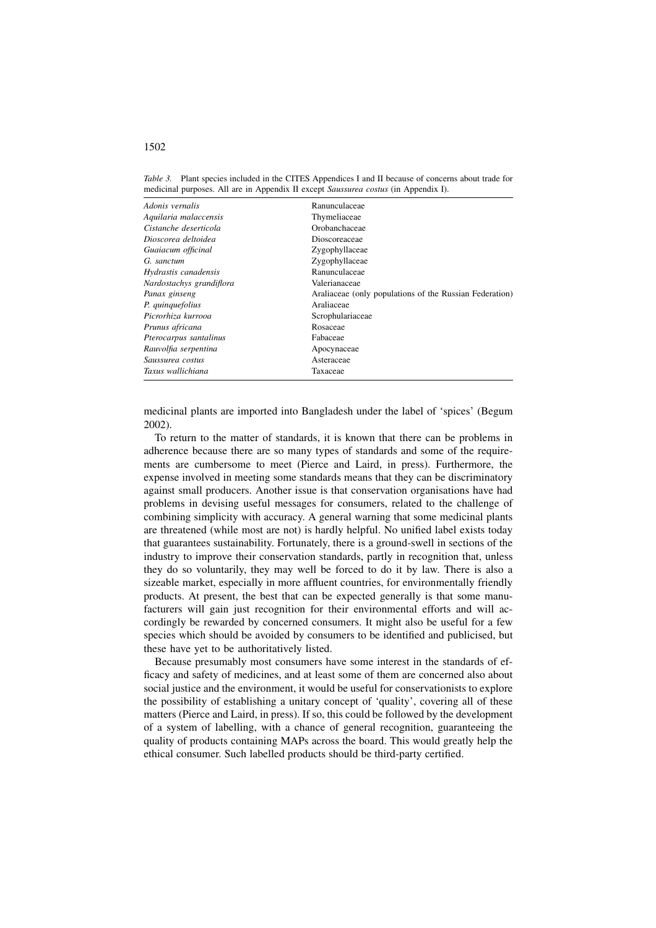Table 3. Plant species included in the CITES Appendices I and II because of concerns about trade for medicinal purposes. All are in Appendix II except Saussurea costus (in Appendix I).

| Adonis vernalis          | Ranunculaceae                                           |
|--------------------------|---------------------------------------------------------|
| Aquilaria malaccensis    | Thymeliaceae                                            |
| Cistanche deserticola    | Orobanchaceae                                           |
| Dioscorea deltoidea      | Dioscoreaceae                                           |
| Guaiacum officinal       | Zygophyllaceae                                          |
| G. sanctum               | Zygophyllaceae                                          |
| Hydrastis canadensis     | Ranunculaceae                                           |
| Nardostachys grandiflora | Valerianaceae                                           |
| Panax ginseng            | Araliaceae (only populations of the Russian Federation) |
| P. quinquefolius         | Araliaceae                                              |
| Picrorhiza kurrooa       | Scrophulariaceae                                        |
| Prunus africana          | Rosaceae                                                |
| Pterocarpus santalinus   | Fabaceae                                                |
| Rauvolfia serpentina     | Apocynaceae                                             |
| Saussurea costus         | Asteraceae                                              |
| Taxus wallichiana        | Taxaceae                                                |

medicinal plants are imported into Bangladesh under the label of 'spices' (Begum 2002).

To return to the matter of standards, it is known that there can be problems in adherence because there are so many types of standards and some of the requirements are cumbersome to meet (Pierce and Laird, in press). Furthermore, the expense involved in meeting some standards means that they can be discriminatory against small producers. Another issue is that conservation organisations have had problems in devising useful messages for consumers, related to the challenge of combining simplicity with accuracy. A general warning that some medicinal plants are threatened (while most are not) is hardly helpful. No unified label exists today that guarantees sustainability. Fortunately, there is a ground-swell in sections of the industry to improve their conservation standards, partly in recognition that, unless they do so voluntarily, they may well be forced to do it by law. There is also a sizeable market, especially in more affluent countries, for environmentally friendly products. At present, the best that can be expected generally is that some manufacturers will gain just recognition for their environmental efforts and will accordingly be rewarded by concerned consumers. It might also be useful for a few species which should be avoided by consumers to be identified and publicised, but these have yet to be authoritatively listed.

Because presumably most consumers have some interest in the standards of efficacy and safety of medicines, and at least some of them are concerned also about social justice and the environment, it would be useful for conservationists to explore the possibility of establishing a unitary concept of 'quality', covering all of these matters (Pierce and Laird, in press). If so, this could be followed by the development of a system of labelling, with a chance of general recognition, guaranteeing the quality of products containing MAPs across the board. This would greatly help the ethical consumer. Such labelled products should be third-party certified.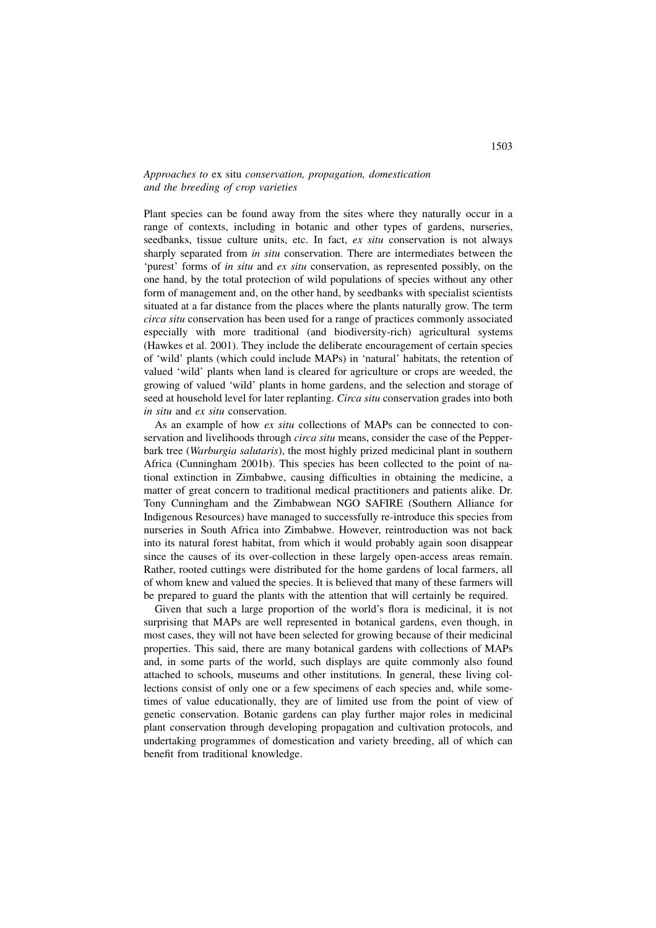### Approaches to ex situ conservation, propagation, domestication and the breeding of crop varieties

Plant species can be found away from the sites where they naturally occur in a range of contexts, including in botanic and other types of gardens, nurseries, seedbanks, tissue culture units, etc. In fact, ex situ conservation is not always sharply separated from *in situ* conservation. There are intermediates between the 'purest' forms of in situ and ex situ conservation, as represented possibly, on the one hand, by the total protection of wild populations of species without any other form of management and, on the other hand, by seedbanks with specialist scientists situated at a far distance from the places where the plants naturally grow. The term circa situ conservation has been used for a range of practices commonly associated especially with more traditional (and biodiversity-rich) agricultural systems (Hawkes et al. 2001). They include the deliberate encouragement of certain species of 'wild' plants (which could include MAPs) in 'natural' habitats, the retention of valued 'wild' plants when land is cleared for agriculture or crops are weeded, the growing of valued 'wild' plants in home gardens, and the selection and storage of seed at household level for later replanting. Circa situ conservation grades into both in situ and ex situ conservation.

As an example of how ex situ collections of MAPs can be connected to conservation and livelihoods through *circa situ* means, consider the case of the Pepperbark tree (Warburgia salutaris), the most highly prized medicinal plant in southern Africa (Cunningham 2001b). This species has been collected to the point of national extinction in Zimbabwe, causing difficulties in obtaining the medicine, a matter of great concern to traditional medical practitioners and patients alike. Dr. Tony Cunningham and the Zimbabwean NGO SAFIRE (Southern Alliance for Indigenous Resources) have managed to successfully re-introduce this species from nurseries in South Africa into Zimbabwe. However, reintroduction was not back into its natural forest habitat, from which it would probably again soon disappear since the causes of its over-collection in these largely open-access areas remain. Rather, rooted cuttings were distributed for the home gardens of local farmers, all of whom knew and valued the species. It is believed that many of these farmers will be prepared to guard the plants with the attention that will certainly be required.

Given that such a large proportion of the world's flora is medicinal, it is not surprising that MAPs are well represented in botanical gardens, even though, in most cases, they will not have been selected for growing because of their medicinal properties. This said, there are many botanical gardens with collections of MAPs and, in some parts of the world, such displays are quite commonly also found attached to schools, museums and other institutions. In general, these living collections consist of only one or a few specimens of each species and, while sometimes of value educationally, they are of limited use from the point of view of genetic conservation. Botanic gardens can play further major roles in medicinal plant conservation through developing propagation and cultivation protocols, and undertaking programmes of domestication and variety breeding, all of which can benefit from traditional knowledge.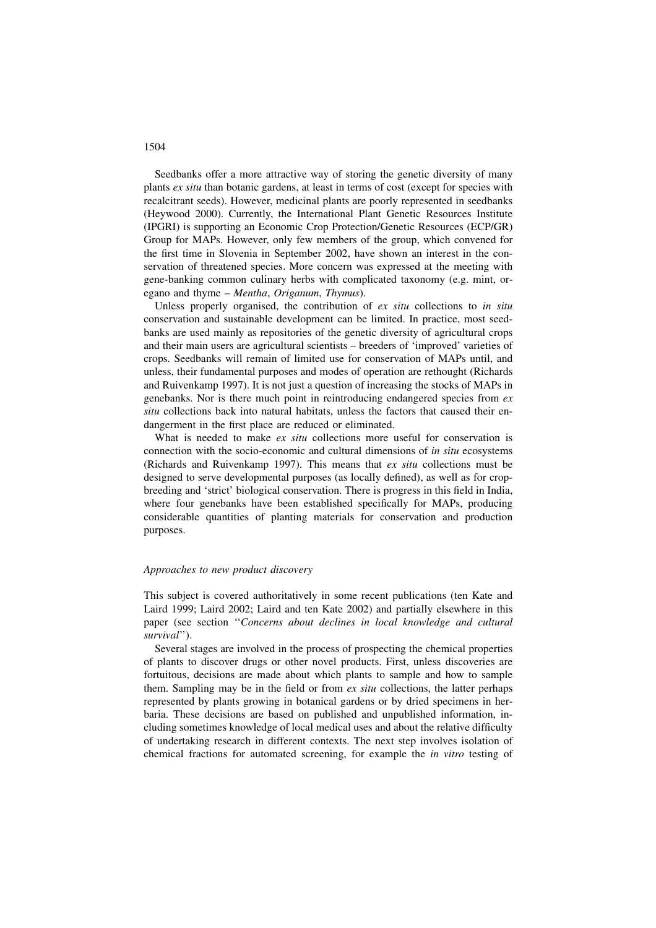Seedbanks offer a more attractive way of storing the genetic diversity of many plants ex situ than botanic gardens, at least in terms of cost (except for species with recalcitrant seeds). However, medicinal plants are poorly represented in seedbanks (Heywood 2000). Currently, the International Plant Genetic Resources Institute (IPGRI) is supporting an Economic Crop Protection/Genetic Resources (ECP/GR) Group for MAPs. However, only few members of the group, which convened for the first time in Slovenia in September 2002, have shown an interest in the conservation of threatened species. More concern was expressed at the meeting with gene-banking common culinary herbs with complicated taxonomy (e.g. mint, oregano and thyme – Mentha, Origanum, Thymus).

Unless properly organised, the contribution of ex situ collections to in situ conservation and sustainable development can be limited. In practice, most seedbanks are used mainly as repositories of the genetic diversity of agricultural crops and their main users are agricultural scientists – breeders of 'improved' varieties of crops. Seedbanks will remain of limited use for conservation of MAPs until, and unless, their fundamental purposes and modes of operation are rethought (Richards and Ruivenkamp 1997). It is not just a question of increasing the stocks of MAPs in genebanks. Nor is there much point in reintroducing endangered species from  $ex$ situ collections back into natural habitats, unless the factors that caused their endangerment in the first place are reduced or eliminated.

What is needed to make ex situ collections more useful for conservation is connection with the socio-economic and cultural dimensions of in situ ecosystems (Richards and Ruivenkamp 1997). This means that  $ex$  situ collections must be designed to serve developmental purposes (as locally defined), as well as for cropbreeding and 'strict' biological conservation. There is progress in this field in India, where four genebanks have been established specifically for MAPs, producing considerable quantities of planting materials for conservation and production purposes.

### Approaches to new product discovery

This subject is covered authoritatively in some recent publications (ten Kate and Laird 1999; Laird 2002; Laird and ten Kate 2002) and partially elsewhere in this paper (see section "Concerns about declines in local knowledge and cultural survival'').

Several stages are involved in the process of prospecting the chemical properties of plants to discover drugs or other novel products. First, unless discoveries are fortuitous, decisions are made about which plants to sample and how to sample them. Sampling may be in the field or from  $ex$  situ collections, the latter perhaps represented by plants growing in botanical gardens or by dried specimens in herbaria. These decisions are based on published and unpublished information, including sometimes knowledge of local medical uses and about the relative difficulty of undertaking research in different contexts. The next step involves isolation of chemical fractions for automated screening, for example the in vitro testing of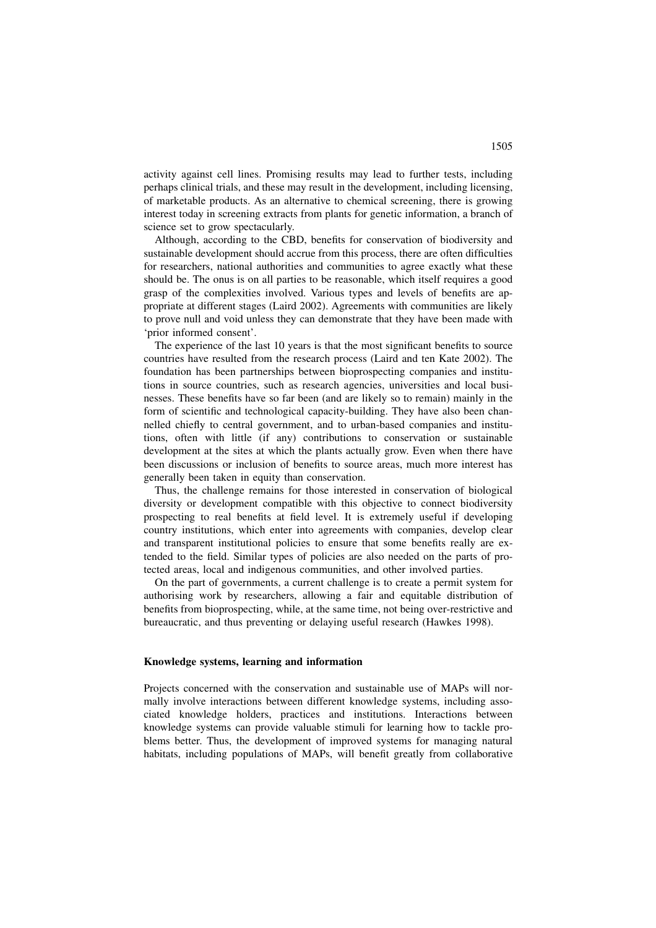activity against cell lines. Promising results may lead to further tests, including perhaps clinical trials, and these may result in the development, including licensing, of marketable products. As an alternative to chemical screening, there is growing interest today in screening extracts from plants for genetic information, a branch of science set to grow spectacularly.

Although, according to the CBD, benefits for conservation of biodiversity and sustainable development should accrue from this process, there are often difficulties for researchers, national authorities and communities to agree exactly what these should be. The onus is on all parties to be reasonable, which itself requires a good grasp of the complexities involved. Various types and levels of benefits are appropriate at different stages (Laird 2002). Agreements with communities are likely to prove null and void unless they can demonstrate that they have been made with 'prior informed consent'.

The experience of the last 10 years is that the most significant benefits to source countries have resulted from the research process (Laird and ten Kate 2002). The foundation has been partnerships between bioprospecting companies and institutions in source countries, such as research agencies, universities and local businesses. These benefits have so far been (and are likely so to remain) mainly in the form of scientific and technological capacity-building. They have also been channelled chiefly to central government, and to urban-based companies and institutions, often with little (if any) contributions to conservation or sustainable development at the sites at which the plants actually grow. Even when there have been discussions or inclusion of benefits to source areas, much more interest has generally been taken in equity than conservation.

Thus, the challenge remains for those interested in conservation of biological diversity or development compatible with this objective to connect biodiversity prospecting to real benefits at field level. It is extremely useful if developing country institutions, which enter into agreements with companies, develop clear and transparent institutional policies to ensure that some benefits really are extended to the field. Similar types of policies are also needed on the parts of protected areas, local and indigenous communities, and other involved parties.

On the part of governments, a current challenge is to create a permit system for authorising work by researchers, allowing a fair and equitable distribution of benefits from bioprospecting, while, at the same time, not being over-restrictive and bureaucratic, and thus preventing or delaying useful research (Hawkes 1998).

#### Knowledge systems, learning and information

Projects concerned with the conservation and sustainable use of MAPs will normally involve interactions between different knowledge systems, including associated knowledge holders, practices and institutions. Interactions between knowledge systems can provide valuable stimuli for learning how to tackle problems better. Thus, the development of improved systems for managing natural habitats, including populations of MAPs, will benefit greatly from collaborative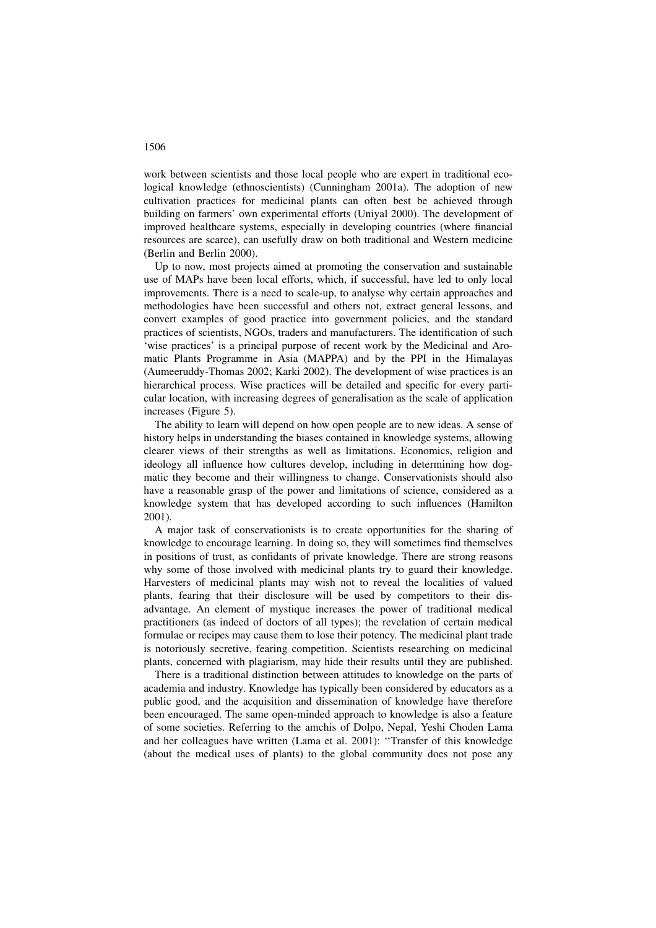work between scientists and those local people who are expert in traditional ecological knowledge (ethnoscientists) (Cunningham 2001a). The adoption of new cultivation practices for medicinal plants can often best be achieved through building on farmers' own experimental efforts (Uniyal 2000). The development of improved healthcare systems, especially in developing countries (where financial resources are scarce), can usefully draw on both traditional and Western medicine (Berlin and Berlin 2000).

Up to now, most projects aimed at promoting the conservation and sustainable use of MAPs have been local efforts, which, if successful, have led to only local improvements. There is a need to scale-up, to analyse why certain approaches and methodologies have been successful and others not, extract general lessons, and convert examples of good practice into government policies, and the standard practices of scientists, NGOs, traders and manufacturers. The identification of such 'wise practices' is a principal purpose of recent work by the Medicinal and Aromatic Plants Programme in Asia (MAPPA) and by the PPI in the Himalayas (Aumeeruddy-Thomas 2002; Karki 2002). The development of wise practices is an hierarchical process. Wise practices will be detailed and specific for every particular location, with increasing degrees of generalisation as the scale of application increases (Figure 5).

The ability to learn will depend on how open people are to new ideas. A sense of history helps in understanding the biases contained in knowledge systems, allowing clearer views of their strengths as well as limitations. Economics, religion and ideology all influence how cultures develop, including in determining how dogmatic they become and their willingness to change. Conservationists should also have a reasonable grasp of the power and limitations of science, considered as a knowledge system that has developed according to such influences (Hamilton 2001).

A major task of conservationists is to create opportunities for the sharing of knowledge to encourage learning. In doing so, they will sometimes find themselves in positions of trust, as confidants of private knowledge. There are strong reasons why some of those involved with medicinal plants try to guard their knowledge. Harvesters of medicinal plants may wish not to reveal the localities of valued plants, fearing that their disclosure will be used by competitors to their disadvantage. An element of mystique increases the power of traditional medical practitioners (as indeed of doctors of all types); the revelation of certain medical formulae or recipes may cause them to lose their potency. The medicinal plant trade is notoriously secretive, fearing competition. Scientists researching on medicinal plants, concerned with plagiarism, may hide their results until they are published.

There is a traditional distinction between attitudes to knowledge on the parts of academia and industry. Knowledge has typically been considered by educators as a public good, and the acquisition and dissemination of knowledge have therefore been encouraged. The same open-minded approach to knowledge is also a feature of some societies. Referring to the amchis of Dolpo, Nepal, Yeshi Choden Lama and her colleagues have written (Lama et al. 2001): ''Transfer of this knowledge (about the medical uses of plants) to the global community does not pose any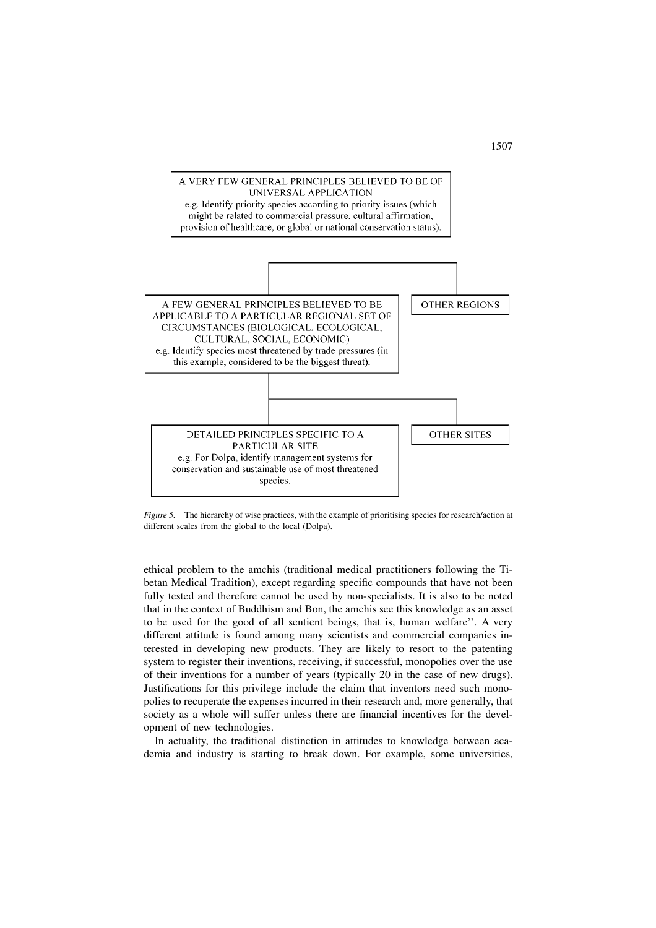

Figure 5. The hierarchy of wise practices, with the example of prioritising species for research/action at different scales from the global to the local (Dolpa).

ethical problem to the amchis (traditional medical practitioners following the Tibetan Medical Tradition), except regarding specific compounds that have not been fully tested and therefore cannot be used by non-specialists. It is also to be noted that in the context of Buddhism and Bon, the amchis see this knowledge as an asset to be used for the good of all sentient beings, that is, human welfare''. A very different attitude is found among many scientists and commercial companies interested in developing new products. They are likely to resort to the patenting system to register their inventions, receiving, if successful, monopolies over the use of their inventions for a number of years (typically 20 in the case of new drugs). Justifications for this privilege include the claim that inventors need such monopolies to recuperate the expenses incurred in their research and, more generally, that society as a whole will suffer unless there are financial incentives for the development of new technologies.

In actuality, the traditional distinction in attitudes to knowledge between academia and industry is starting to break down. For example, some universities,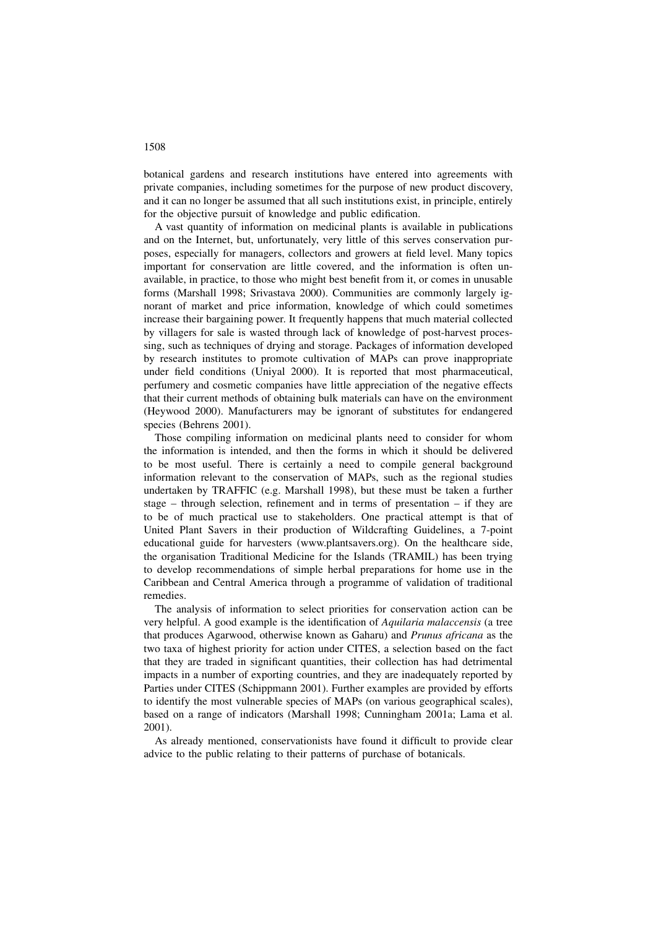botanical gardens and research institutions have entered into agreements with private companies, including sometimes for the purpose of new product discovery, and it can no longer be assumed that all such institutions exist, in principle, entirely for the objective pursuit of knowledge and public edification.

A vast quantity of information on medicinal plants is available in publications and on the Internet, but, unfortunately, very little of this serves conservation purposes, especially for managers, collectors and growers at field level. Many topics important for conservation are little covered, and the information is often unavailable, in practice, to those who might best benefit from it, or comes in unusable forms (Marshall 1998; Srivastava 2000). Communities are commonly largely ignorant of market and price information, knowledge of which could sometimes increase their bargaining power. It frequently happens that much material collected by villagers for sale is wasted through lack of knowledge of post-harvest processing, such as techniques of drying and storage. Packages of information developed by research institutes to promote cultivation of MAPs can prove inappropriate under field conditions (Uniyal 2000). It is reported that most pharmaceutical, perfumery and cosmetic companies have little appreciation of the negative effects that their current methods of obtaining bulk materials can have on the environment (Heywood 2000). Manufacturers may be ignorant of substitutes for endangered species (Behrens 2001).

Those compiling information on medicinal plants need to consider for whom the information is intended, and then the forms in which it should be delivered to be most useful. There is certainly a need to compile general background information relevant to the conservation of MAPs, such as the regional studies undertaken by TRAFFIC (e.g. Marshall 1998), but these must be taken a further stage – through selection, refinement and in terms of presentation – if they are to be of much practical use to stakeholders. One practical attempt is that of United Plant Savers in their production of Wildcrafting Guidelines, a 7-point educational guide for harvesters (www.plantsavers.org). On the healthcare side, the organisation Traditional Medicine for the Islands (TRAMIL) has been trying to develop recommendations of simple herbal preparations for home use in the Caribbean and Central America through a programme of validation of traditional remedies.

The analysis of information to select priorities for conservation action can be very helpful. A good example is the identification of Aquilaria malaccensis (a tree that produces Agarwood, otherwise known as Gaharu) and Prunus africana as the two taxa of highest priority for action under CITES, a selection based on the fact that they are traded in significant quantities, their collection has had detrimental impacts in a number of exporting countries, and they are inadequately reported by Parties under CITES (Schippmann 2001). Further examples are provided by efforts to identify the most vulnerable species of MAPs (on various geographical scales), based on a range of indicators (Marshall 1998; Cunningham 2001a; Lama et al. 2001).

As already mentioned, conservationists have found it difficult to provide clear advice to the public relating to their patterns of purchase of botanicals.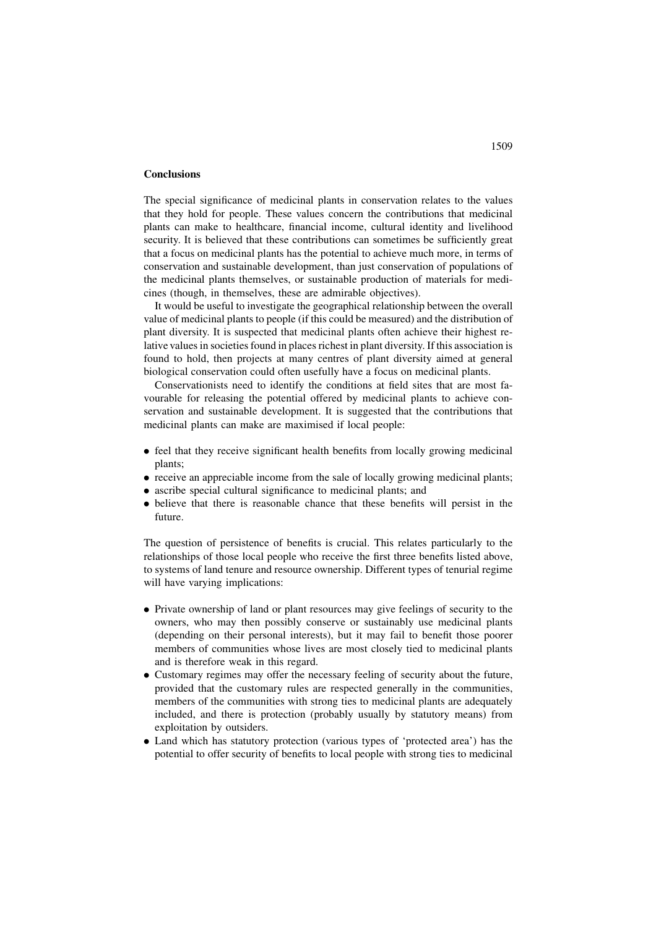### **Conclusions**

The special significance of medicinal plants in conservation relates to the values that they hold for people. These values concern the contributions that medicinal plants can make to healthcare, financial income, cultural identity and livelihood security. It is believed that these contributions can sometimes be sufficiently great that a focus on medicinal plants has the potential to achieve much more, in terms of conservation and sustainable development, than just conservation of populations of the medicinal plants themselves, or sustainable production of materials for medicines (though, in themselves, these are admirable objectives).

It would be useful to investigate the geographical relationship between the overall value of medicinal plants to people (if this could be measured) and the distribution of plant diversity. It is suspected that medicinal plants often achieve their highest relative values in societies found in places richest in plant diversity. If this association is found to hold, then projects at many centres of plant diversity aimed at general biological conservation could often usefully have a focus on medicinal plants.

Conservationists need to identify the conditions at field sites that are most favourable for releasing the potential offered by medicinal plants to achieve conservation and sustainable development. It is suggested that the contributions that medicinal plants can make are maximised if local people:

- . feel that they receive significant health benefits from locally growing medicinal plants;
- . receive an appreciable income from the sale of locally growing medicinal plants;
- . ascribe special cultural significance to medicinal plants; and
- . believe that there is reasonable chance that these benefits will persist in the future.

The question of persistence of benefits is crucial. This relates particularly to the relationships of those local people who receive the first three benefits listed above, to systems of land tenure and resource ownership. Different types of tenurial regime will have varying implications:

- . Private ownership of land or plant resources may give feelings of security to the owners, who may then possibly conserve or sustainably use medicinal plants (depending on their personal interests), but it may fail to benefit those poorer members of communities whose lives are most closely tied to medicinal plants and is therefore weak in this regard.
- . Customary regimes may offer the necessary feeling of security about the future, provided that the customary rules are respected generally in the communities, members of the communities with strong ties to medicinal plants are adequately included, and there is protection (probably usually by statutory means) from exploitation by outsiders.
- . Land which has statutory protection (various types of 'protected area') has the potential to offer security of benefits to local people with strong ties to medicinal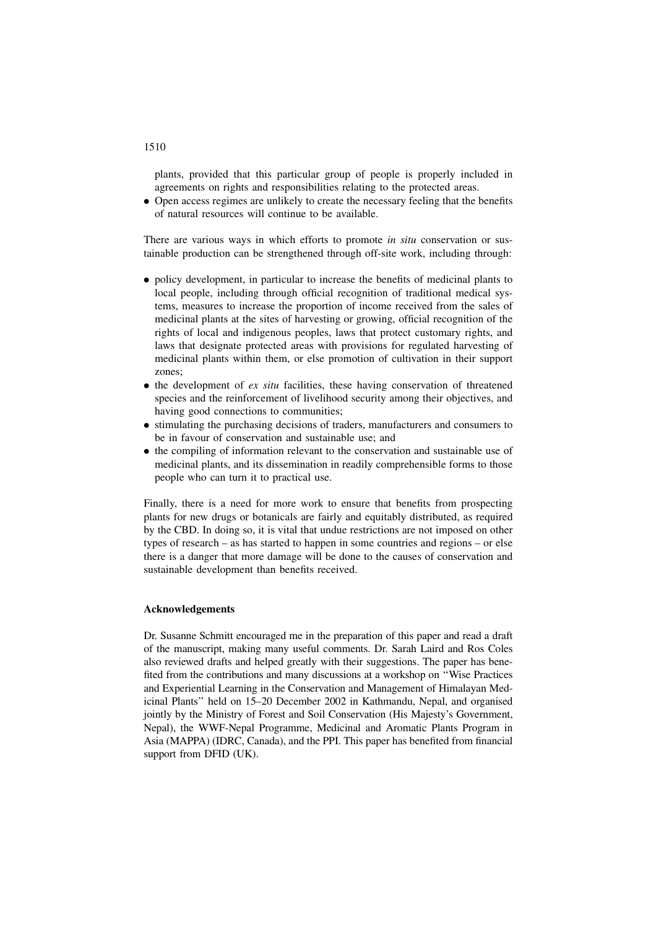plants, provided that this particular group of people is properly included in agreements on rights and responsibilities relating to the protected areas.

. Open access regimes are unlikely to create the necessary feeling that the benefits of natural resources will continue to be available.

There are various ways in which efforts to promote *in situ* conservation or sustainable production can be strengthened through off-site work, including through:

- . policy development, in particular to increase the benefits of medicinal plants to local people, including through official recognition of traditional medical systems, measures to increase the proportion of income received from the sales of medicinal plants at the sites of harvesting or growing, official recognition of the rights of local and indigenous peoples, laws that protect customary rights, and laws that designate protected areas with provisions for regulated harvesting of medicinal plants within them, or else promotion of cultivation in their support zones;
- $\bullet$  the development of *ex situ* facilities, these having conservation of threatened species and the reinforcement of livelihood security among their objectives, and having good connections to communities;
- . stimulating the purchasing decisions of traders, manufacturers and consumers to be in favour of conservation and sustainable use; and
- . the compiling of information relevant to the conservation and sustainable use of medicinal plants, and its dissemination in readily comprehensible forms to those people who can turn it to practical use.

Finally, there is a need for more work to ensure that benefits from prospecting plants for new drugs or botanicals are fairly and equitably distributed, as required by the CBD. In doing so, it is vital that undue restrictions are not imposed on other types of research – as has started to happen in some countries and regions – or else there is a danger that more damage will be done to the causes of conservation and sustainable development than benefits received.

### Acknowledgements

Dr. Susanne Schmitt encouraged me in the preparation of this paper and read a draft of the manuscript, making many useful comments. Dr. Sarah Laird and Ros Coles also reviewed drafts and helped greatly with their suggestions. The paper has benefited from the contributions and many discussions at a workshop on ''Wise Practices and Experiential Learning in the Conservation and Management of Himalayan Medicinal Plants'' held on 15–20 December 2002 in Kathmandu, Nepal, and organised jointly by the Ministry of Forest and Soil Conservation (His Majesty's Government, Nepal), the WWF-Nepal Programme, Medicinal and Aromatic Plants Program in Asia (MAPPA) (IDRC, Canada), and the PPI. This paper has benefited from financial support from DFID (UK).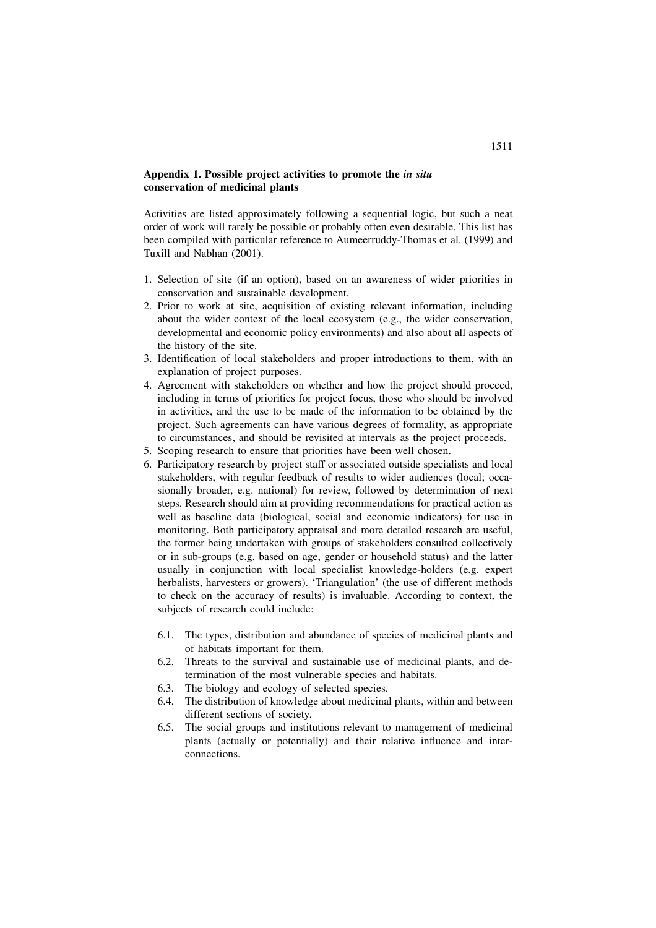# Appendix 1. Possible project activities to promote the in situ conservation of medicinal plants

Activities are listed approximately following a sequential logic, but such a neat order of work will rarely be possible or probably often even desirable. This list has been compiled with particular reference to Aumeerruddy-Thomas et al. (1999) and Tuxill and Nabhan (2001).

- 1. Selection of site (if an option), based on an awareness of wider priorities in conservation and sustainable development.
- 2. Prior to work at site, acquisition of existing relevant information, including about the wider context of the local ecosystem (e.g., the wider conservation, developmental and economic policy environments) and also about all aspects of the history of the site.
- 3. Identification of local stakeholders and proper introductions to them, with an explanation of project purposes.
- 4. Agreement with stakeholders on whether and how the project should proceed, including in terms of priorities for project focus, those who should be involved in activities, and the use to be made of the information to be obtained by the project. Such agreements can have various degrees of formality, as appropriate to circumstances, and should be revisited at intervals as the project proceeds.
- 5. Scoping research to ensure that priorities have been well chosen.
- 6. Participatory research by project staff or associated outside specialists and local stakeholders, with regular feedback of results to wider audiences (local; occasionally broader, e.g. national) for review, followed by determination of next steps. Research should aim at providing recommendations for practical action as well as baseline data (biological, social and economic indicators) for use in monitoring. Both participatory appraisal and more detailed research are useful, the former being undertaken with groups of stakeholders consulted collectively or in sub-groups (e.g. based on age, gender or household status) and the latter usually in conjunction with local specialist knowledge-holders (e.g. expert herbalists, harvesters or growers). 'Triangulation' (the use of different methods to check on the accuracy of results) is invaluable. According to context, the subjects of research could include:
	- 6.1. The types, distribution and abundance of species of medicinal plants and of habitats important for them.
	- 6.2. Threats to the survival and sustainable use of medicinal plants, and determination of the most vulnerable species and habitats.
	- 6.3. The biology and ecology of selected species.
	- 6.4. The distribution of knowledge about medicinal plants, within and between different sections of society.
	- 6.5. The social groups and institutions relevant to management of medicinal plants (actually or potentially) and their relative influence and interconnections.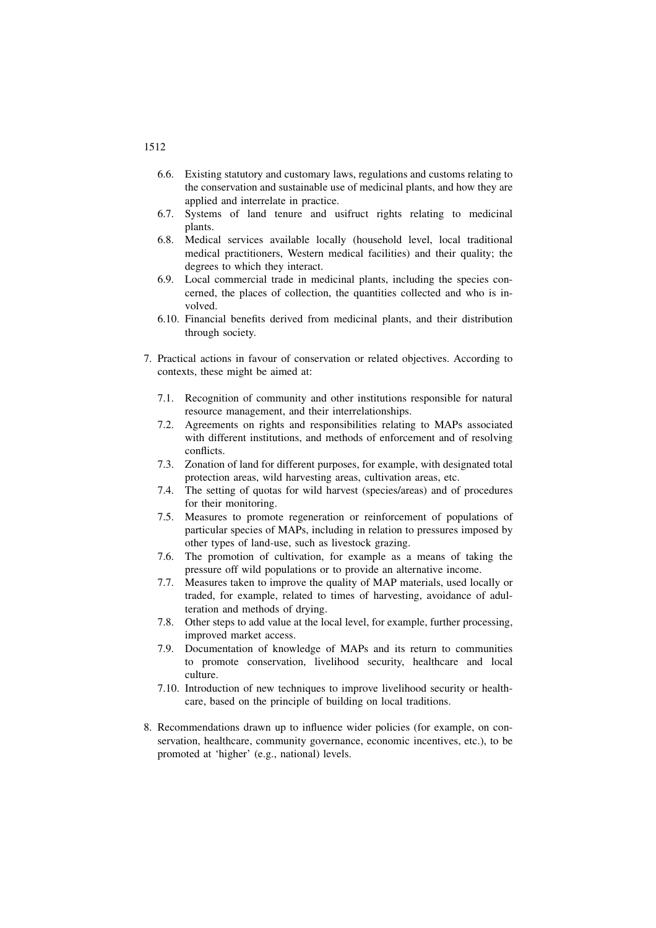- 6.6. Existing statutory and customary laws, regulations and customs relating to the conservation and sustainable use of medicinal plants, and how they are applied and interrelate in practice.
- 6.7. Systems of land tenure and usifruct rights relating to medicinal plants.
- 6.8. Medical services available locally (household level, local traditional medical practitioners, Western medical facilities) and their quality; the degrees to which they interact.
- 6.9. Local commercial trade in medicinal plants, including the species concerned, the places of collection, the quantities collected and who is involved.
- 6.10. Financial benefits derived from medicinal plants, and their distribution through society.
- 7. Practical actions in favour of conservation or related objectives. According to contexts, these might be aimed at:
	- 7.1. Recognition of community and other institutions responsible for natural resource management, and their interrelationships.
	- 7.2. Agreements on rights and responsibilities relating to MAPs associated with different institutions, and methods of enforcement and of resolving conflicts.
	- 7.3. Zonation of land for different purposes, for example, with designated total protection areas, wild harvesting areas, cultivation areas, etc.
	- 7.4. The setting of quotas for wild harvest (species/areas) and of procedures for their monitoring.
	- 7.5. Measures to promote regeneration or reinforcement of populations of particular species of MAPs, including in relation to pressures imposed by other types of land-use, such as livestock grazing.
	- 7.6. The promotion of cultivation, for example as a means of taking the pressure off wild populations or to provide an alternative income.
	- 7.7. Measures taken to improve the quality of MAP materials, used locally or traded, for example, related to times of harvesting, avoidance of adulteration and methods of drying.
	- 7.8. Other steps to add value at the local level, for example, further processing, improved market access.
	- 7.9. Documentation of knowledge of MAPs and its return to communities to promote conservation, livelihood security, healthcare and local culture.
	- 7.10. Introduction of new techniques to improve livelihood security or healthcare, based on the principle of building on local traditions.
- 8. Recommendations drawn up to influence wider policies (for example, on conservation, healthcare, community governance, economic incentives, etc.), to be promoted at 'higher' (e.g., national) levels.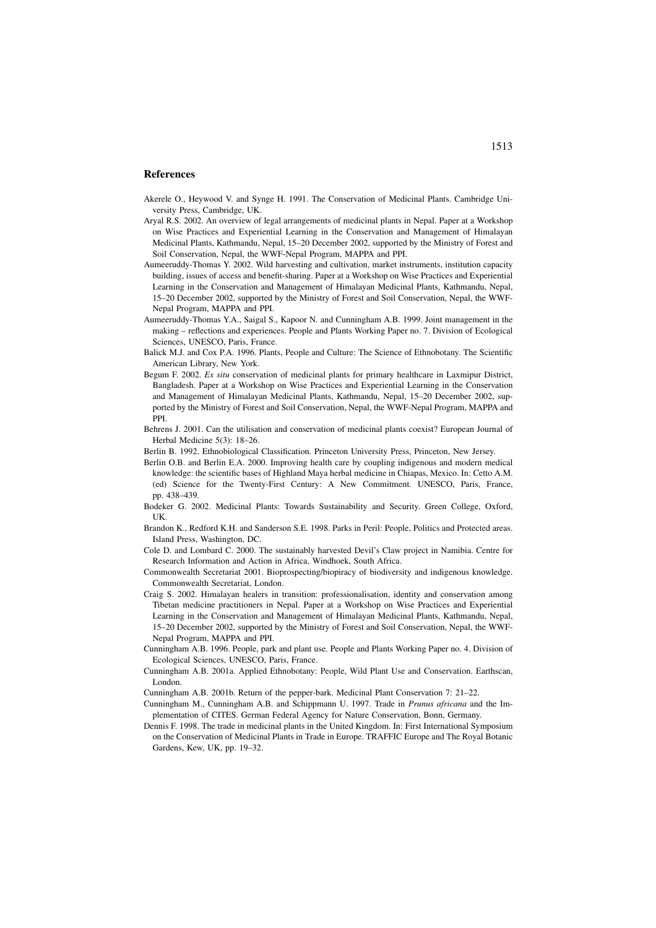### References

- Akerele O., Heywood V. and Synge H. 1991. The Conservation of Medicinal Plants. Cambridge University Press, Cambridge, UK.
- Aryal R.S. 2002. An overview of legal arrangements of medicinal plants in Nepal. Paper at a Workshop on Wise Practices and Experiential Learning in the Conservation and Management of Himalayan Medicinal Plants, Kathmandu, Nepal, 15–20 December 2002, supported by the Ministry of Forest and Soil Conservation, Nepal, the WWF-Nepal Program, MAPPA and PPI.
- Aumeeruddy-Thomas Y. 2002. Wild harvesting and cultivation, market instruments, institution capacity building, issues of access and benefit-sharing. Paper at a Workshop on Wise Practices and Experiential Learning in the Conservation and Management of Himalayan Medicinal Plants, Kathmandu, Nepal, 15–20 December 2002, supported by the Ministry of Forest and Soil Conservation, Nepal, the WWF-Nepal Program, MAPPA and PPI.
- Aumeeruddy-Thomas Y.A., Saigal S., Kapoor N. and Cunningham A.B. 1999. Joint management in the making – reflections and experiences. People and Plants Working Paper no. 7. Division of Ecological Sciences, UNESCO, Paris, France.
- Balick M.J. and Cox P.A. 1996. Plants, People and Culture: The Science of Ethnobotany. The Scientific American Library, New York.
- Begum F. 2002. Ex situ conservation of medicinal plants for primary healthcare in Laxmipur District, Bangladesh. Paper at a Workshop on Wise Practices and Experiential Learning in the Conservation and Management of Himalayan Medicinal Plants, Kathmandu, Nepal, 15–20 December 2002, supported by the Ministry of Forest and Soil Conservation, Nepal, the WWF-Nepal Program, MAPPA and PPI.
- Behrens J. 2001. Can the utilisation and conservation of medicinal plants coexist? European Journal of Herbal Medicine 5(3): 18–26.
- Berlin B. 1992. Ethnobiological Classification. Princeton University Press, Princeton, New Jersey.
- Berlin O.B. and Berlin E.A. 2000. Improving health care by coupling indigenous and modern medical knowledge: the scientific bases of Highland Maya herbal medicine in Chiapas, Mexico. In: Cetto A.M. (ed) Science for the Twenty-First Century: A New Commitment. UNESCO, Paris, France, pp. 438–439.
- Bodeker G. 2002. Medicinal Plants: Towards Sustainability and Security. Green College, Oxford, UK.
- Brandon K., Redford K.H. and Sanderson S.E. 1998. Parks in Peril: People, Politics and Protected areas. Island Press, Washington, DC.
- Cole D. and Lombard C. 2000. The sustainably harvested Devil's Claw project in Namibia. Centre for Research Information and Action in Africa, Windhoek, South Africa.
- Commonwealth Secretariat 2001. Bioprospecting/biopiracy of biodiversity and indigenous knowledge. Commonwealth Secretariat, London.
- Craig S. 2002. Himalayan healers in transition: professionalisation, identity and conservation among Tibetan medicine practitioners in Nepal. Paper at a Workshop on Wise Practices and Experiential Learning in the Conservation and Management of Himalayan Medicinal Plants, Kathmandu, Nepal, 15–20 December 2002, supported by the Ministry of Forest and Soil Conservation, Nepal, the WWF-Nepal Program, MAPPA and PPI.
- Cunningham A.B. 1996. People, park and plant use. People and Plants Working Paper no. 4. Division of Ecological Sciences, UNESCO, Paris, France.
- Cunningham A.B. 2001a. Applied Ethnobotany: People, Wild Plant Use and Conservation. Earthscan, London.
- Cunningham A.B. 2001b. Return of the pepper-bark. Medicinal Plant Conservation 7: 21–22.
- Cunningham M., Cunningham A.B. and Schippmann U. 1997. Trade in Prunus africana and the Implementation of CITES. German Federal Agency for Nature Conservation, Bonn, Germany.
- Dennis F. 1998. The trade in medicinal plants in the United Kingdom. In: First International Symposium on the Conservation of Medicinal Plants in Trade in Europe. TRAFFIC Europe and The Royal Botanic Gardens, Kew, UK, pp. 19–32.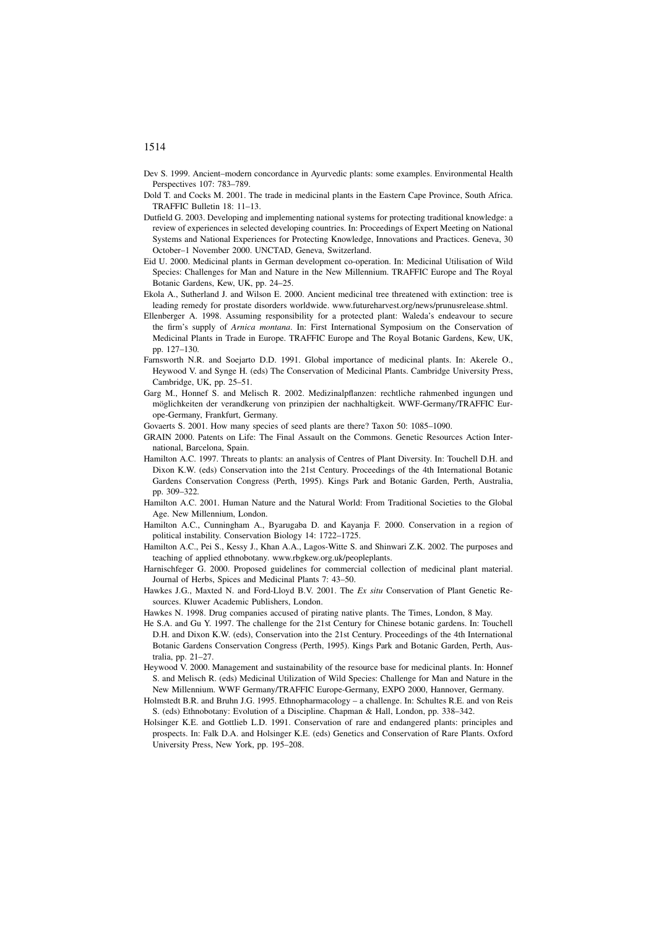- Dev S. 1999. Ancient–modern concordance in Ayurvedic plants: some examples. Environmental Health Perspectives 107: 783–789.
- Dold T. and Cocks M. 2001. The trade in medicinal plants in the Eastern Cape Province, South Africa. TRAFFIC Bulletin 18: 11–13.
- Dutfield G. 2003. Developing and implementing national systems for protecting traditional knowledge: a review of experiences in selected developing countries. In: Proceedings of Expert Meeting on National Systems and National Experiences for Protecting Knowledge, Innovations and Practices. Geneva, 30 October–1 November 2000. UNCTAD, Geneva, Switzerland.
- Eid U. 2000. Medicinal plants in German development co-operation. In: Medicinal Utilisation of Wild Species: Challenges for Man and Nature in the New Millennium. TRAFFIC Europe and The Royal Botanic Gardens, Kew, UK, pp. 24–25.
- Ekola A., Sutherland J. and Wilson E. 2000. Ancient medicinal tree threatened with extinction: tree is leading remedy for prostate disorders worldwide. www.futureharvest.org/news/prunusrelease.shtml.
- Ellenberger A. 1998. Assuming responsibility for a protected plant: Waleda's endeavour to secure the firm's supply of Arnica montana. In: First International Symposium on the Conservation of Medicinal Plants in Trade in Europe. TRAFFIC Europe and The Royal Botanic Gardens, Kew, UK, pp. 127–130.
- Farnsworth N.R. and Soejarto D.D. 1991. Global importance of medicinal plants. In: Akerele O., Heywood V. and Synge H. (eds) The Conservation of Medicinal Plants. Cambridge University Press, Cambridge, UK, pp. 25–51.
- Garg M., Honnef S. and Melisch R. 2002. Medizinalpflanzen: rechtliche rahmenbed ingungen und möglichkeiten der verandkerung von prinzipien der nachhaltigkeit. WWF-Germany/TRAFFIC Europe-Germany, Frankfurt, Germany.
- Govaerts S. 2001. How many species of seed plants are there? Taxon 50: 1085–1090.
- GRAIN 2000. Patents on Life: The Final Assault on the Commons. Genetic Resources Action International, Barcelona, Spain.
- Hamilton A.C. 1997. Threats to plants: an analysis of Centres of Plant Diversity. In: Touchell D.H. and Dixon K.W. (eds) Conservation into the 21st Century. Proceedings of the 4th International Botanic Gardens Conservation Congress (Perth, 1995). Kings Park and Botanic Garden, Perth, Australia, pp. 309–322.
- Hamilton A.C. 2001. Human Nature and the Natural World: From Traditional Societies to the Global Age. New Millennium, London.
- Hamilton A.C., Cunningham A., Byarugaba D. and Kayanja F. 2000. Conservation in a region of political instability. Conservation Biology 14: 1722–1725.
- Hamilton A.C., Pei S., Kessy J., Khan A.A., Lagos-Witte S. and Shinwari Z.K. 2002. The purposes and teaching of applied ethnobotany. www.rbgkew.org.uk/peopleplants.
- Harnischfeger G. 2000. Proposed guidelines for commercial collection of medicinal plant material. Journal of Herbs, Spices and Medicinal Plants 7: 43–50.
- Hawkes J.G., Maxted N. and Ford-Lloyd B.V. 2001. The Ex situ Conservation of Plant Genetic Resources. Kluwer Academic Publishers, London.
- Hawkes N. 1998. Drug companies accused of pirating native plants. The Times, London, 8 May.
- He S.A. and Gu Y. 1997. The challenge for the 21st Century for Chinese botanic gardens. In: Touchell D.H. and Dixon K.W. (eds), Conservation into the 21st Century. Proceedings of the 4th International Botanic Gardens Conservation Congress (Perth, 1995). Kings Park and Botanic Garden, Perth, Australia, pp. 21–27.
- Heywood V. 2000. Management and sustainability of the resource base for medicinal plants. In: Honnef S. and Melisch R. (eds) Medicinal Utilization of Wild Species: Challenge for Man and Nature in the New Millennium. WWF Germany/TRAFFIC Europe-Germany, EXPO 2000, Hannover, Germany.
- Holmstedt B.R. and Bruhn J.G. 1995. Ethnopharmacology a challenge. In: Schultes R.E. and von Reis S. (eds) Ethnobotany: Evolution of a Discipline. Chapman & Hall, London, pp. 338–342.
- Holsinger K.E. and Gottlieb L.D. 1991. Conservation of rare and endangered plants: principles and prospects. In: Falk D.A. and Holsinger K.E. (eds) Genetics and Conservation of Rare Plants. Oxford University Press, New York, pp. 195–208.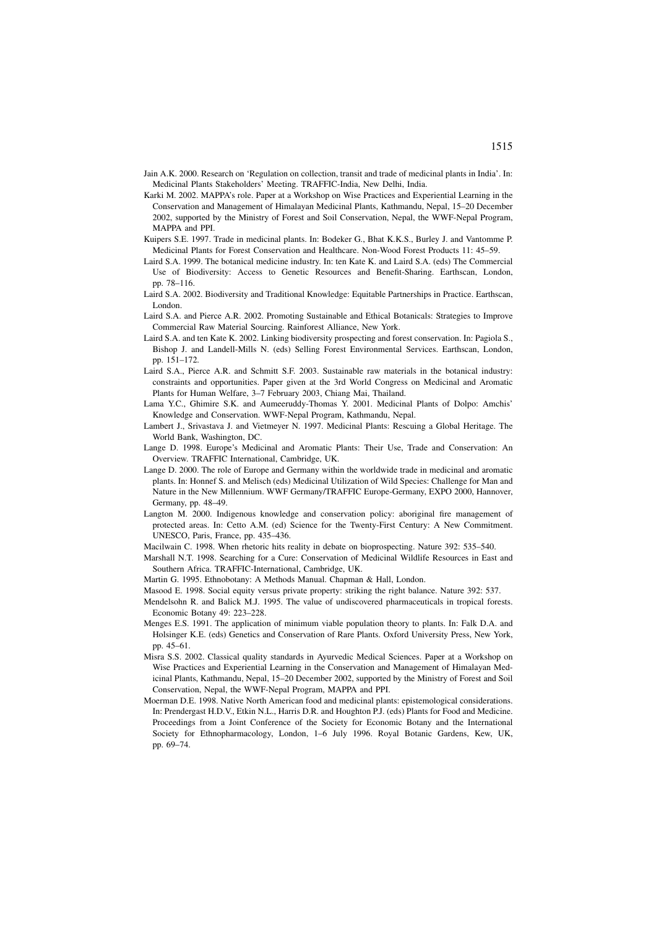- Jain A.K. 2000. Research on 'Regulation on collection, transit and trade of medicinal plants in India'. In: Medicinal Plants Stakeholders' Meeting. TRAFFIC-India, New Delhi, India.
- Karki M. 2002. MAPPA's role. Paper at a Workshop on Wise Practices and Experiential Learning in the Conservation and Management of Himalayan Medicinal Plants, Kathmandu, Nepal, 15–20 December 2002, supported by the Ministry of Forest and Soil Conservation, Nepal, the WWF-Nepal Program, MAPPA and PPI.
- Kuipers S.E. 1997. Trade in medicinal plants. In: Bodeker G., Bhat K.K.S., Burley J. and Vantomme P. Medicinal Plants for Forest Conservation and Healthcare. Non-Wood Forest Products 11: 45–59.
- Laird S.A. 1999. The botanical medicine industry. In: ten Kate K. and Laird S.A. (eds) The Commercial Use of Biodiversity: Access to Genetic Resources and Benefit-Sharing. Earthscan, London, pp. 78–116.
- Laird S.A. 2002. Biodiversity and Traditional Knowledge: Equitable Partnerships in Practice. Earthscan, London.
- Laird S.A. and Pierce A.R. 2002. Promoting Sustainable and Ethical Botanicals: Strategies to Improve Commercial Raw Material Sourcing. Rainforest Alliance, New York.
- Laird S.A. and ten Kate K. 2002. Linking biodiversity prospecting and forest conservation. In: Pagiola S., Bishop J. and Landell-Mills N. (eds) Selling Forest Environmental Services. Earthscan, London, pp. 151–172.
- Laird S.A., Pierce A.R. and Schmitt S.F. 2003. Sustainable raw materials in the botanical industry: constraints and opportunities. Paper given at the 3rd World Congress on Medicinal and Aromatic Plants for Human Welfare, 3–7 February 2003, Chiang Mai, Thailand.
- Lama Y.C., Ghimire S.K. and Aumeeruddy-Thomas Y. 2001. Medicinal Plants of Dolpo: Amchis' Knowledge and Conservation. WWF-Nepal Program, Kathmandu, Nepal.
- Lambert J., Srivastava J. and Vietmeyer N. 1997. Medicinal Plants: Rescuing a Global Heritage. The World Bank, Washington, DC.
- Lange D. 1998. Europe's Medicinal and Aromatic Plants: Their Use, Trade and Conservation: An Overview. TRAFFIC International, Cambridge, UK.
- Lange D. 2000. The role of Europe and Germany within the worldwide trade in medicinal and aromatic plants. In: Honnef S. and Melisch (eds) Medicinal Utilization of Wild Species: Challenge for Man and Nature in the New Millennium. WWF Germany/TRAFFIC Europe-Germany, EXPO 2000, Hannover, Germany, pp. 48–49.
- Langton M. 2000. Indigenous knowledge and conservation policy: aboriginal fire management of protected areas. In: Cetto A.M. (ed) Science for the Twenty-First Century: A New Commitment. UNESCO, Paris, France, pp. 435–436.
- Macilwain C. 1998. When rhetoric hits reality in debate on bioprospecting. Nature 392: 535–540.
- Marshall N.T. 1998. Searching for a Cure: Conservation of Medicinal Wildlife Resources in East and Southern Africa. TRAFFIC-International, Cambridge, UK.
- Martin G. 1995. Ethnobotany: A Methods Manual. Chapman & Hall, London.
- Masood E. 1998. Social equity versus private property: striking the right balance. Nature 392: 537.
- Mendelsohn R. and Balick M.J. 1995. The value of undiscovered pharmaceuticals in tropical forests. Economic Botany 49: 223–228.
- Menges E.S. 1991. The application of minimum viable population theory to plants. In: Falk D.A. and Holsinger K.E. (eds) Genetics and Conservation of Rare Plants. Oxford University Press, New York, pp. 45–61.
- Misra S.S. 2002. Classical quality standards in Ayurvedic Medical Sciences. Paper at a Workshop on Wise Practices and Experiential Learning in the Conservation and Management of Himalayan Medicinal Plants, Kathmandu, Nepal, 15–20 December 2002, supported by the Ministry of Forest and Soil Conservation, Nepal, the WWF-Nepal Program, MAPPA and PPI.
- Moerman D.E. 1998. Native North American food and medicinal plants: epistemological considerations. In: Prendergast H.D.V., Etkin N.L., Harris D.R. and Houghton P.J. (eds) Plants for Food and Medicine. Proceedings from a Joint Conference of the Society for Economic Botany and the International Society for Ethnopharmacology, London, 1–6 July 1996. Royal Botanic Gardens, Kew, UK, pp. 69–74.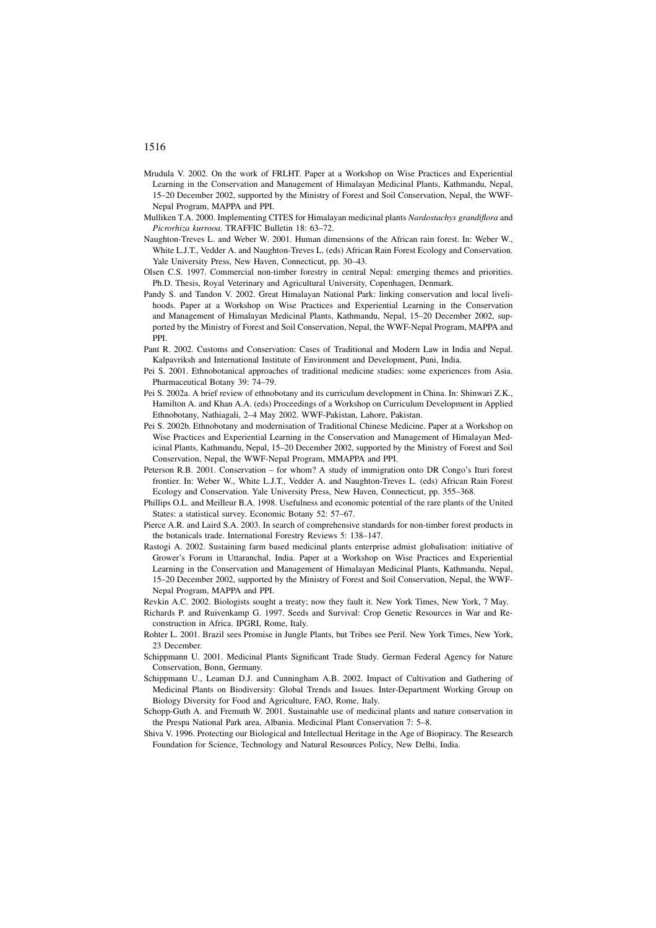- Mrudula V. 2002. On the work of FRLHT. Paper at a Workshop on Wise Practices and Experiential Learning in the Conservation and Management of Himalayan Medicinal Plants, Kathmandu, Nepal, 15–20 December 2002, supported by the Ministry of Forest and Soil Conservation, Nepal, the WWF-Nepal Program, MAPPA and PPI.
- Mulliken T.A. 2000. Implementing CITES for Himalayan medicinal plants Nardostachys grandiflora and Picrorhiza kurrooa. TRAFFIC Bulletin 18: 63–72.
- Naughton-Treves L. and Weber W. 2001. Human dimensions of the African rain forest. In: Weber W., White L.J.T., Vedder A. and Naughton-Treves L. (eds) African Rain Forest Ecology and Conservation. Yale University Press, New Haven, Connecticut, pp. 30–43.
- Olsen C.S. 1997. Commercial non-timber forestry in central Nepal: emerging themes and priorities. Ph.D. Thesis, Royal Veterinary and Agricultural University, Copenhagen, Denmark.
- Pandy S. and Tandon V. 2002. Great Himalayan National Park: linking conservation and local livelihoods. Paper at a Workshop on Wise Practices and Experiential Learning in the Conservation and Management of Himalayan Medicinal Plants, Kathmandu, Nepal, 15–20 December 2002, supported by the Ministry of Forest and Soil Conservation, Nepal, the WWF-Nepal Program, MAPPA and PPI.
- Pant R. 2002. Customs and Conservation: Cases of Traditional and Modern Law in India and Nepal. Kalpavriksh and International Institute of Environment and Development, Puni, India.
- Pei S. 2001. Ethnobotanical approaches of traditional medicine studies: some experiences from Asia. Pharmaceutical Botany 39: 74–79.
- Pei S. 2002a. A brief review of ethnobotany and its curriculum development in China. In: Shinwari Z.K., Hamilton A. and Khan A.A. (eds) Proceedings of a Workshop on Curriculum Development in Applied Ethnobotany, Nathiagali, 2–4 May 2002. WWF-Pakistan, Lahore, Pakistan.
- Pei S. 2002b. Ethnobotany and modernisation of Traditional Chinese Medicine. Paper at a Workshop on Wise Practices and Experiential Learning in the Conservation and Management of Himalayan Medicinal Plants, Kathmandu, Nepal, 15–20 December 2002, supported by the Ministry of Forest and Soil Conservation, Nepal, the WWF-Nepal Program, MMAPPA and PPI.
- Peterson R.B. 2001. Conservation for whom? A study of immigration onto DR Congo's Ituri forest frontier. In: Weber W., White L.J.T., Vedder A. and Naughton-Treves L. (eds) African Rain Forest Ecology and Conservation. Yale University Press, New Haven, Connecticut, pp. 355–368.
- Phillips O.L. and Meilleur B.A. 1998. Usefulness and economic potential of the rare plants of the United States: a statistical survey. Economic Botany 52: 57–67.
- Pierce A.R. and Laird S.A. 2003. In search of comprehensive standards for non-timber forest products in the botanicals trade. International Forestry Reviews 5: 138–147.
- Rastogi A. 2002. Sustaining farm based medicinal plants enterprise admist globalisation: initiative of Grower's Forum in Uttaranchal, India. Paper at a Workshop on Wise Practices and Experiential Learning in the Conservation and Management of Himalayan Medicinal Plants, Kathmandu, Nepal, 15–20 December 2002, supported by the Ministry of Forest and Soil Conservation, Nepal, the WWF-Nepal Program, MAPPA and PPI.
- Revkin A.C. 2002. Biologists sought a treaty; now they fault it. New York Times, New York, 7 May.
- Richards P. and Ruivenkamp G. 1997. Seeds and Survival: Crop Genetic Resources in War and Reconstruction in Africa. IPGRI, Rome, Italy.
- Rohter L. 2001. Brazil sees Promise in Jungle Plants, but Tribes see Peril. New York Times, New York, 23 December.
- Schippmann U. 2001. Medicinal Plants Significant Trade Study. German Federal Agency for Nature Conservation, Bonn, Germany.
- Schippmann U., Leaman D.J. and Cunningham A.B. 2002. Impact of Cultivation and Gathering of Medicinal Plants on Biodiversity: Global Trends and Issues. Inter-Department Working Group on Biology Diversity for Food and Agriculture, FAO, Rome, Italy.
- Schopp-Guth A. and Fremuth W. 2001. Sustainable use of medicinal plants and nature conservation in the Prespa National Park area, Albania. Medicinal Plant Conservation 7: 5–8.
- Shiva V. 1996. Protecting our Biological and Intellectual Heritage in the Age of Biopiracy. The Research Foundation for Science, Technology and Natural Resources Policy, New Delhi, India.